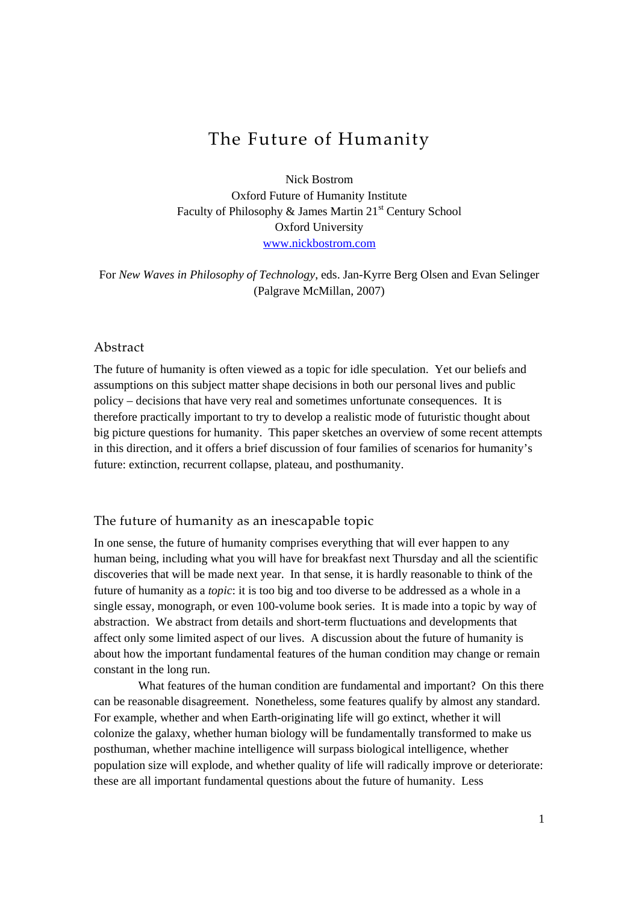# The Future of Humanity

Nick Bostrom Oxford Future of Humanity Institute Faculty of Philosophy & James Martin 21<sup>st</sup> Century School Oxford University www.nickbostrom.com

For *New Waves in Philosophy of Technology*, eds. Jan-Kyrre Berg Olsen and Evan Selinger (Palgrave McMillan, 2007)

# Abstract

The future of humanity is often viewed as a topic for idle speculation. Yet our beliefs and assumptions on this subject matter shape decisions in both our personal lives and public policy – decisions that have very real and sometimes unfortunate consequences. It is therefore practically important to try to develop a realistic mode of futuristic thought about big picture questions for humanity. This paper sketches an overview of some recent attempts in this direction, and it offers a brief discussion of four families of scenarios for humanity's future: extinction, recurrent collapse, plateau, and posthumanity.

#### The future of humanity as an inescapable topic

In one sense, the future of humanity comprises everything that will ever happen to any human being, including what you will have for breakfast next Thursday and all the scientific discoveries that will be made next year. In that sense, it is hardly reasonable to think of the future of humanity as a *topic*: it is too big and too diverse to be addressed as a whole in a single essay, monograph, or even 100-volume book series. It is made into a topic by way of abstraction. We abstract from details and short-term fluctuations and developments that affect only some limited aspect of our lives. A discussion about the future of humanity is about how the important fundamental features of the human condition may change or remain constant in the long run.

 What features of the human condition are fundamental and important? On this there can be reasonable disagreement. Nonetheless, some features qualify by almost any standard. For example, whether and when Earth-originating life will go extinct, whether it will colonize the galaxy, whether human biology will be fundamentally transformed to make us posthuman, whether machine intelligence will surpass biological intelligence, whether population size will explode, and whether quality of life will radically improve or deteriorate: these are all important fundamental questions about the future of humanity. Less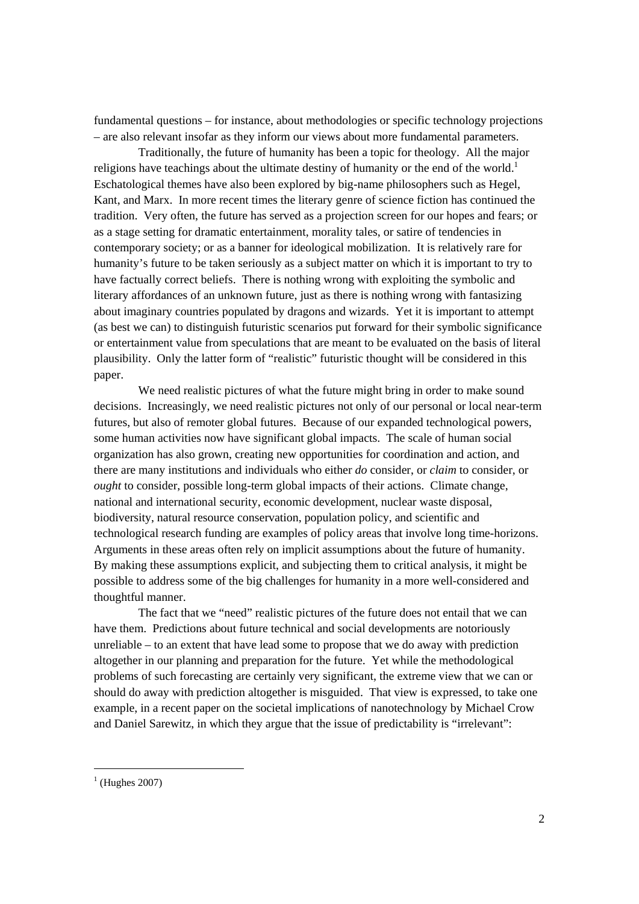fundamental questions – for instance, about methodologies or specific technology projections – are also relevant insofar as they inform our views about more fundamental parameters.

 Traditionally, the future of humanity has been a topic for theology. All the major religions have teachings about the ultimate destiny of humanity or the end of the world.<sup>1</sup> Eschatological themes have also been explored by big-name philosophers such as Hegel, Kant, and Marx. In more recent times the literary genre of science fiction has continued the tradition. Very often, the future has served as a projection screen for our hopes and fears; or as a stage setting for dramatic entertainment, morality tales, or satire of tendencies in contemporary society; or as a banner for ideological mobilization. It is relatively rare for humanity's future to be taken seriously as a subject matter on which it is important to try to have factually correct beliefs. There is nothing wrong with exploiting the symbolic and literary affordances of an unknown future, just as there is nothing wrong with fantasizing about imaginary countries populated by dragons and wizards. Yet it is important to attempt (as best we can) to distinguish futuristic scenarios put forward for their symbolic significance or entertainment value from speculations that are meant to be evaluated on the basis of literal plausibility. Only the latter form of "realistic" futuristic thought will be considered in this paper.

 We need realistic pictures of what the future might bring in order to make sound decisions. Increasingly, we need realistic pictures not only of our personal or local near-term futures, but also of remoter global futures. Because of our expanded technological powers, some human activities now have significant global impacts. The scale of human social organization has also grown, creating new opportunities for coordination and action, and there are many institutions and individuals who either *do* consider, or *claim* to consider, or *ought* to consider, possible long-term global impacts of their actions. Climate change, national and international security, economic development, nuclear waste disposal, biodiversity, natural resource conservation, population policy, and scientific and technological research funding are examples of policy areas that involve long time-horizons. Arguments in these areas often rely on implicit assumptions about the future of humanity. By making these assumptions explicit, and subjecting them to critical analysis, it might be possible to address some of the big challenges for humanity in a more well-considered and thoughtful manner.

 The fact that we "need" realistic pictures of the future does not entail that we can have them. Predictions about future technical and social developments are notoriously unreliable – to an extent that have lead some to propose that we do away with prediction altogether in our planning and preparation for the future. Yet while the methodological problems of such forecasting are certainly very significant, the extreme view that we can or should do away with prediction altogether is misguided. That view is expressed, to take one example, in a recent paper on the societal implications of nanotechnology by Michael Crow and Daniel Sarewitz, in which they argue that the issue of predictability is "irrelevant":

 $<sup>1</sup>$  (Hughes 2007)</sup>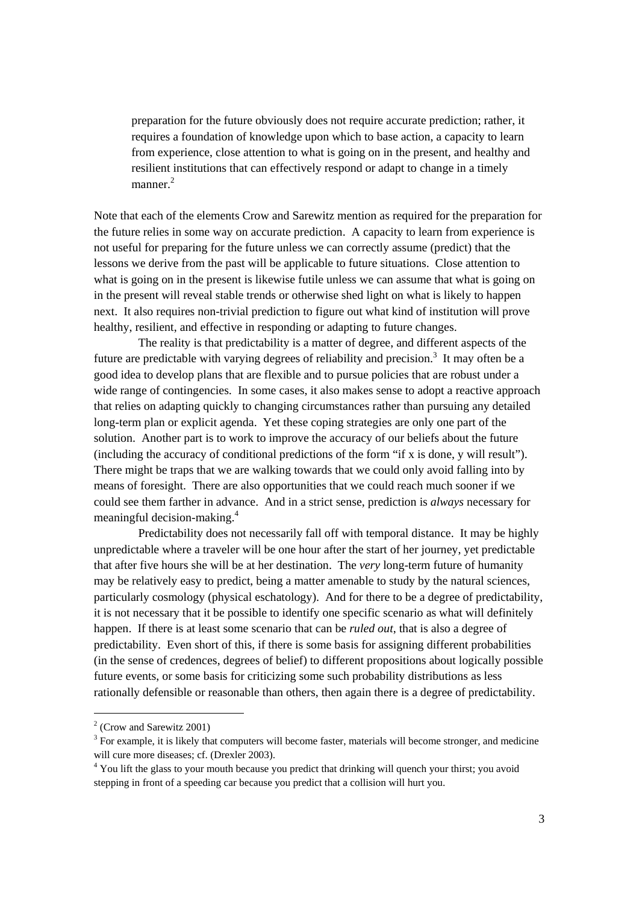preparation for the future obviously does not require accurate prediction; rather, it requires a foundation of knowledge upon which to base action, a capacity to learn from experience, close attention to what is going on in the present, and healthy and resilient institutions that can effectively respond or adapt to change in a timely manner.<sup>2</sup>

Note that each of the elements Crow and Sarewitz mention as required for the preparation for the future relies in some way on accurate prediction. A capacity to learn from experience is not useful for preparing for the future unless we can correctly assume (predict) that the lessons we derive from the past will be applicable to future situations. Close attention to what is going on in the present is likewise futile unless we can assume that what is going on in the present will reveal stable trends or otherwise shed light on what is likely to happen next. It also requires non-trivial prediction to figure out what kind of institution will prove healthy, resilient, and effective in responding or adapting to future changes.

 The reality is that predictability is a matter of degree, and different aspects of the future are predictable with varying degrees of reliability and precision.<sup>3</sup> It may often be a good idea to develop plans that are flexible and to pursue policies that are robust under a wide range of contingencies. In some cases, it also makes sense to adopt a reactive approach that relies on adapting quickly to changing circumstances rather than pursuing any detailed long-term plan or explicit agenda. Yet these coping strategies are only one part of the solution. Another part is to work to improve the accuracy of our beliefs about the future (including the accuracy of conditional predictions of the form "if x is done, y will result"). There might be traps that we are walking towards that we could only avoid falling into by means of foresight. There are also opportunities that we could reach much sooner if we could see them farther in advance. And in a strict sense, prediction is *always* necessary for meaningful decision-making.4

 Predictability does not necessarily fall off with temporal distance. It may be highly unpredictable where a traveler will be one hour after the start of her journey, yet predictable that after five hours she will be at her destination. The *very* long-term future of humanity may be relatively easy to predict, being a matter amenable to study by the natural sciences, particularly cosmology (physical eschatology). And for there to be a degree of predictability, it is not necessary that it be possible to identify one specific scenario as what will definitely happen. If there is at least some scenario that can be *ruled out*, that is also a degree of predictability. Even short of this, if there is some basis for assigning different probabilities (in the sense of credences, degrees of belief) to different propositions about logically possible future events, or some basis for criticizing some such probability distributions as less rationally defensible or reasonable than others, then again there is a degree of predictability.

<sup>2</sup> (Crow and Sarewitz 2001)

 $3$  For example, it is likely that computers will become faster, materials will become stronger, and medicine will cure more diseases; cf. (Drexler 2003).

<sup>&</sup>lt;sup>4</sup> You lift the glass to your mouth because you predict that drinking will quench your thirst; you avoid stepping in front of a speeding car because you predict that a collision will hurt you.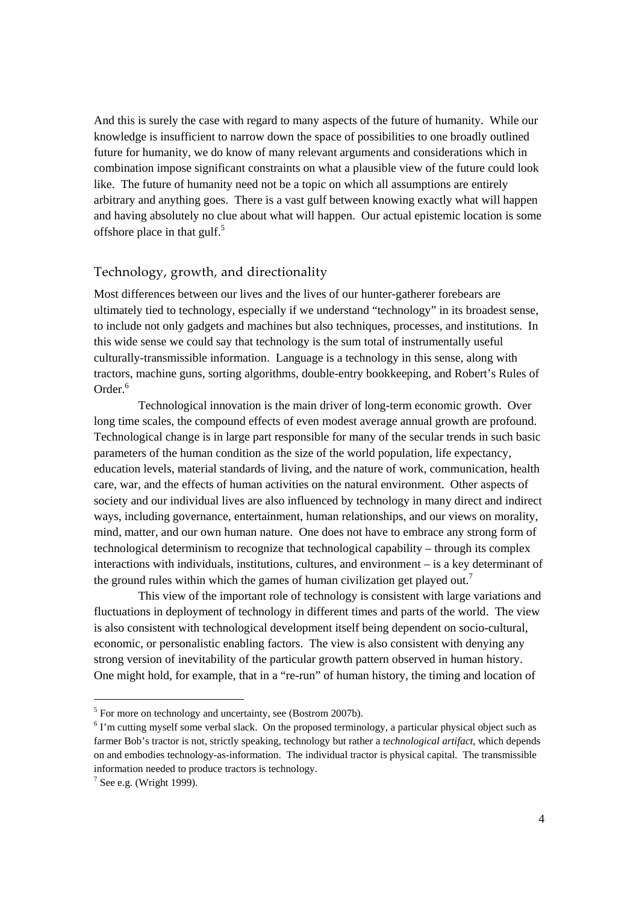And this is surely the case with regard to many aspects of the future of humanity. While our knowledge is insufficient to narrow down the space of possibilities to one broadly outlined future for humanity, we do know of many relevant arguments and considerations which in combination impose significant constraints on what a plausible view of the future could look like. The future of humanity need not be a topic on which all assumptions are entirely arbitrary and anything goes. There is a vast gulf between knowing exactly what will happen and having absolutely no clue about what will happen. Our actual epistemic location is some offshore place in that gulf.<sup>5</sup>

# Technology, growth, and directionality

Most differences between our lives and the lives of our hunter-gatherer forebears are ultimately tied to technology, especially if we understand "technology" in its broadest sense, to include not only gadgets and machines but also techniques, processes, and institutions. In this wide sense we could say that technology is the sum total of instrumentally useful culturally-transmissible information. Language is a technology in this sense, along with tractors, machine guns, sorting algorithms, double-entry bookkeeping, and Robert's Rules of Order.<sup>6</sup>

 Technological innovation is the main driver of long-term economic growth. Over long time scales, the compound effects of even modest average annual growth are profound. Technological change is in large part responsible for many of the secular trends in such basic parameters of the human condition as the size of the world population, life expectancy, education levels, material standards of living, and the nature of work, communication, health care, war, and the effects of human activities on the natural environment. Other aspects of society and our individual lives are also influenced by technology in many direct and indirect ways, including governance, entertainment, human relationships, and our views on morality, mind, matter, and our own human nature. One does not have to embrace any strong form of technological determinism to recognize that technological capability – through its complex interactions with individuals, institutions, cultures, and environment – is a key determinant of the ground rules within which the games of human civilization get played out.<sup>7</sup>

 This view of the important role of technology is consistent with large variations and fluctuations in deployment of technology in different times and parts of the world. The view is also consistent with technological development itself being dependent on socio-cultural, economic, or personalistic enabling factors. The view is also consistent with denying any strong version of inevitability of the particular growth pattern observed in human history. One might hold, for example, that in a "re-run" of human history, the timing and location of

 $<sup>5</sup>$  For more on technology and uncertainty, see (Bostrom 2007b).</sup>

<sup>&</sup>lt;sup>6</sup> I'm cutting myself some verbal slack. On the proposed terminology, a particular physical object such as farmer Bob's tractor is not, strictly speaking, technology but rather a *technological artifact*, which depends on and embodies technology-as-information. The individual tractor is physical capital. The transmissible information needed to produce tractors is technology.

 $7$  See e.g. (Wright 1999).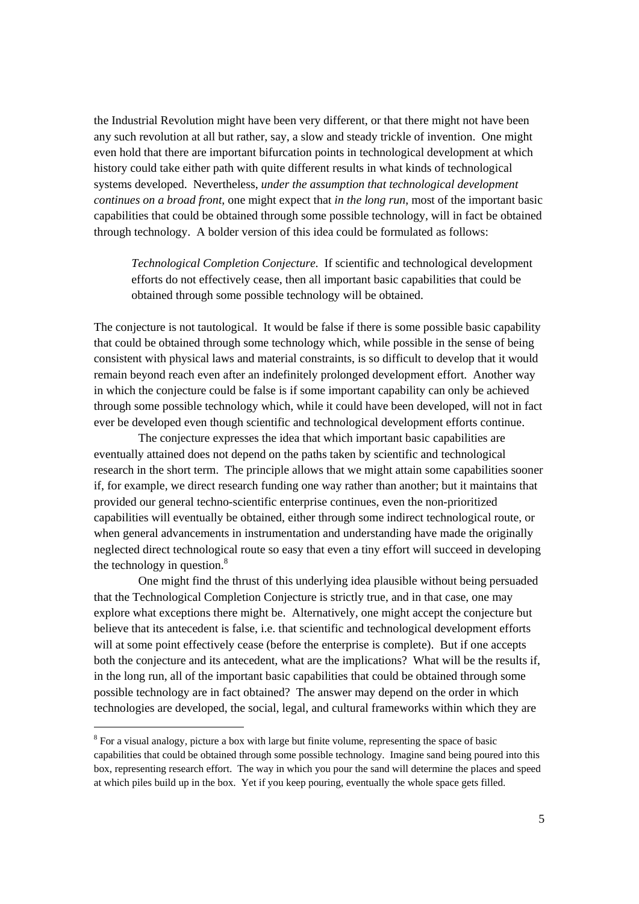the Industrial Revolution might have been very different, or that there might not have been any such revolution at all but rather, say, a slow and steady trickle of invention. One might even hold that there are important bifurcation points in technological development at which history could take either path with quite different results in what kinds of technological systems developed. Nevertheless, *under the assumption that technological development continues on a broad front*, one might expect that *in the long run*, most of the important basic capabilities that could be obtained through some possible technology, will in fact be obtained through technology. A bolder version of this idea could be formulated as follows:

*Technological Completion Conjecture*. If scientific and technological development efforts do not effectively cease, then all important basic capabilities that could be obtained through some possible technology will be obtained.

The conjecture is not tautological. It would be false if there is some possible basic capability that could be obtained through some technology which, while possible in the sense of being consistent with physical laws and material constraints, is so difficult to develop that it would remain beyond reach even after an indefinitely prolonged development effort. Another way in which the conjecture could be false is if some important capability can only be achieved through some possible technology which, while it could have been developed, will not in fact ever be developed even though scientific and technological development efforts continue.

 The conjecture expresses the idea that which important basic capabilities are eventually attained does not depend on the paths taken by scientific and technological research in the short term. The principle allows that we might attain some capabilities sooner if, for example, we direct research funding one way rather than another; but it maintains that provided our general techno-scientific enterprise continues, even the non-prioritized capabilities will eventually be obtained, either through some indirect technological route, or when general advancements in instrumentation and understanding have made the originally neglected direct technological route so easy that even a tiny effort will succeed in developing the technology in question. $8$ 

 One might find the thrust of this underlying idea plausible without being persuaded that the Technological Completion Conjecture is strictly true, and in that case, one may explore what exceptions there might be. Alternatively, one might accept the conjecture but believe that its antecedent is false, i.e. that scientific and technological development efforts will at some point effectively cease (before the enterprise is complete). But if one accepts both the conjecture and its antecedent, what are the implications? What will be the results if, in the long run, all of the important basic capabilities that could be obtained through some possible technology are in fact obtained? The answer may depend on the order in which technologies are developed, the social, legal, and cultural frameworks within which they are

 $8$  For a visual analogy, picture a box with large but finite volume, representing the space of basic capabilities that could be obtained through some possible technology. Imagine sand being poured into this box, representing research effort. The way in which you pour the sand will determine the places and speed at which piles build up in the box. Yet if you keep pouring, eventually the whole space gets filled.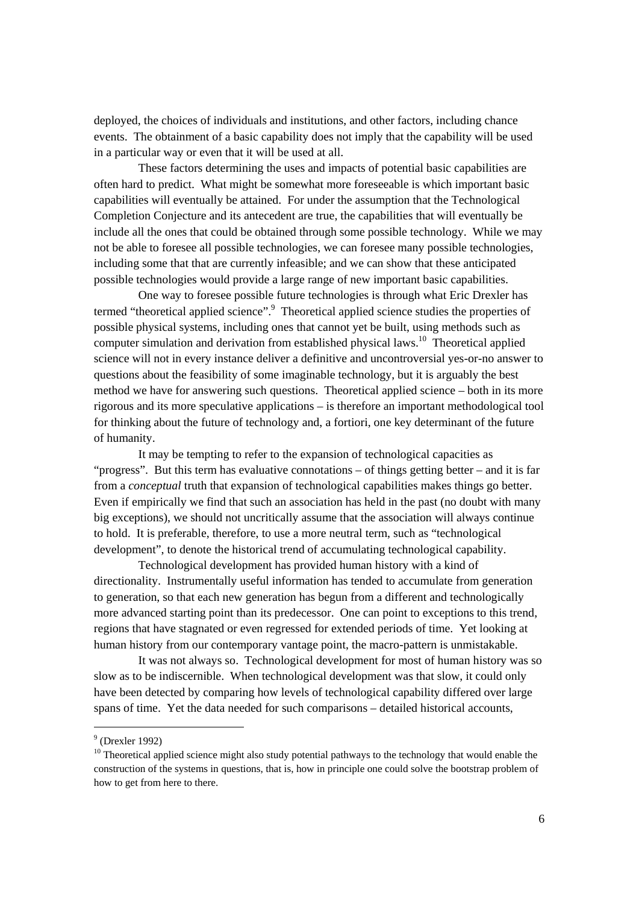deployed, the choices of individuals and institutions, and other factors, including chance events. The obtainment of a basic capability does not imply that the capability will be used in a particular way or even that it will be used at all.

 These factors determining the uses and impacts of potential basic capabilities are often hard to predict. What might be somewhat more foreseeable is which important basic capabilities will eventually be attained. For under the assumption that the Technological Completion Conjecture and its antecedent are true, the capabilities that will eventually be include all the ones that could be obtained through some possible technology. While we may not be able to foresee all possible technologies, we can foresee many possible technologies, including some that that are currently infeasible; and we can show that these anticipated possible technologies would provide a large range of new important basic capabilities.

 One way to foresee possible future technologies is through what Eric Drexler has termed "theoretical applied science".<sup>9</sup> Theoretical applied science studies the properties of possible physical systems, including ones that cannot yet be built, using methods such as computer simulation and derivation from established physical laws.<sup>10</sup> Theoretical applied science will not in every instance deliver a definitive and uncontroversial yes-or-no answer to questions about the feasibility of some imaginable technology, but it is arguably the best method we have for answering such questions. Theoretical applied science – both in its more rigorous and its more speculative applications – is therefore an important methodological tool for thinking about the future of technology and, a fortiori, one key determinant of the future of humanity.

 It may be tempting to refer to the expansion of technological capacities as "progress". But this term has evaluative connotations – of things getting better – and it is far from a *conceptual* truth that expansion of technological capabilities makes things go better. Even if empirically we find that such an association has held in the past (no doubt with many big exceptions), we should not uncritically assume that the association will always continue to hold. It is preferable, therefore, to use a more neutral term, such as "technological development", to denote the historical trend of accumulating technological capability.

 Technological development has provided human history with a kind of directionality. Instrumentally useful information has tended to accumulate from generation to generation, so that each new generation has begun from a different and technologically more advanced starting point than its predecessor. One can point to exceptions to this trend, regions that have stagnated or even regressed for extended periods of time. Yet looking at human history from our contemporary vantage point, the macro-pattern is unmistakable.

 It was not always so. Technological development for most of human history was so slow as to be indiscernible. When technological development was that slow, it could only have been detected by comparing how levels of technological capability differed over large spans of time. Yet the data needed for such comparisons – detailed historical accounts,

 $<sup>9</sup>$  (Drexler 1992)</sup>

 $10$  Theoretical applied science might also study potential pathways to the technology that would enable the construction of the systems in questions, that is, how in principle one could solve the bootstrap problem of how to get from here to there.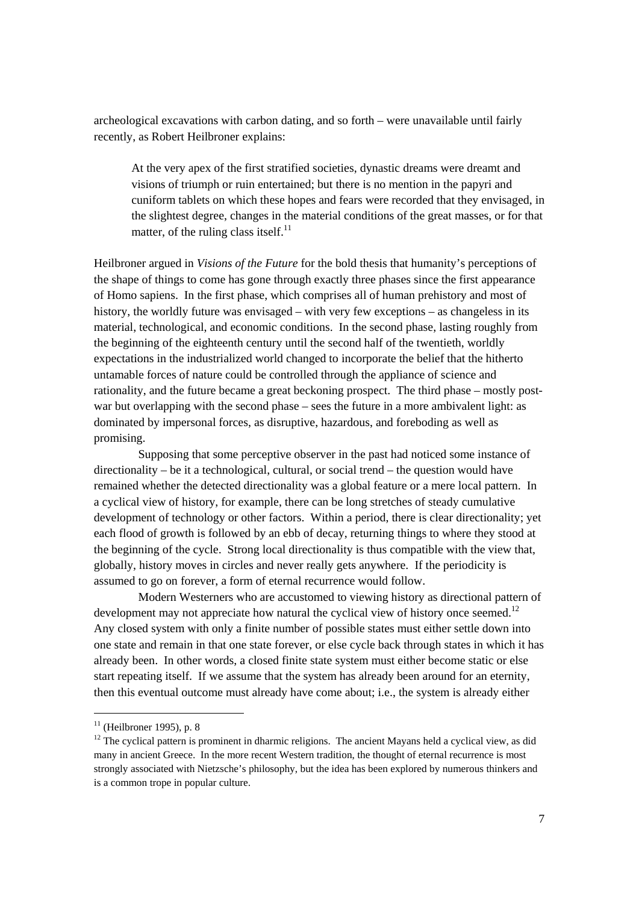archeological excavations with carbon dating, and so forth – were unavailable until fairly recently, as Robert Heilbroner explains:

At the very apex of the first stratified societies, dynastic dreams were dreamt and visions of triumph or ruin entertained; but there is no mention in the papyri and cuniform tablets on which these hopes and fears were recorded that they envisaged, in the slightest degree, changes in the material conditions of the great masses, or for that matter, of the ruling class itself. $^{11}$ 

Heilbroner argued in *Visions of the Future* for the bold thesis that humanity's perceptions of the shape of things to come has gone through exactly three phases since the first appearance of Homo sapiens. In the first phase, which comprises all of human prehistory and most of history, the worldly future was envisaged – with very few exceptions – as changeless in its material, technological, and economic conditions. In the second phase, lasting roughly from the beginning of the eighteenth century until the second half of the twentieth, worldly expectations in the industrialized world changed to incorporate the belief that the hitherto untamable forces of nature could be controlled through the appliance of science and rationality, and the future became a great beckoning prospect. The third phase – mostly postwar but overlapping with the second phase – sees the future in a more ambivalent light: as dominated by impersonal forces, as disruptive, hazardous, and foreboding as well as promising.

 Supposing that some perceptive observer in the past had noticed some instance of directionality – be it a technological, cultural, or social trend – the question would have remained whether the detected directionality was a global feature or a mere local pattern. In a cyclical view of history, for example, there can be long stretches of steady cumulative development of technology or other factors. Within a period, there is clear directionality; yet each flood of growth is followed by an ebb of decay, returning things to where they stood at the beginning of the cycle. Strong local directionality is thus compatible with the view that, globally, history moves in circles and never really gets anywhere. If the periodicity is assumed to go on forever, a form of eternal recurrence would follow.

 Modern Westerners who are accustomed to viewing history as directional pattern of development may not appreciate how natural the cyclical view of history once seemed.<sup>12</sup> Any closed system with only a finite number of possible states must either settle down into one state and remain in that one state forever, or else cycle back through states in which it has already been. In other words, a closed finite state system must either become static or else start repeating itself. If we assume that the system has already been around for an eternity, then this eventual outcome must already have come about; i.e., the system is already either

 $11$  (Heilbroner 1995), p. 8

 $12$  The cyclical pattern is prominent in dharmic religions. The ancient Mayans held a cyclical view, as did many in ancient Greece. In the more recent Western tradition, the thought of eternal recurrence is most strongly associated with Nietzsche's philosophy, but the idea has been explored by numerous thinkers and is a common trope in popular culture.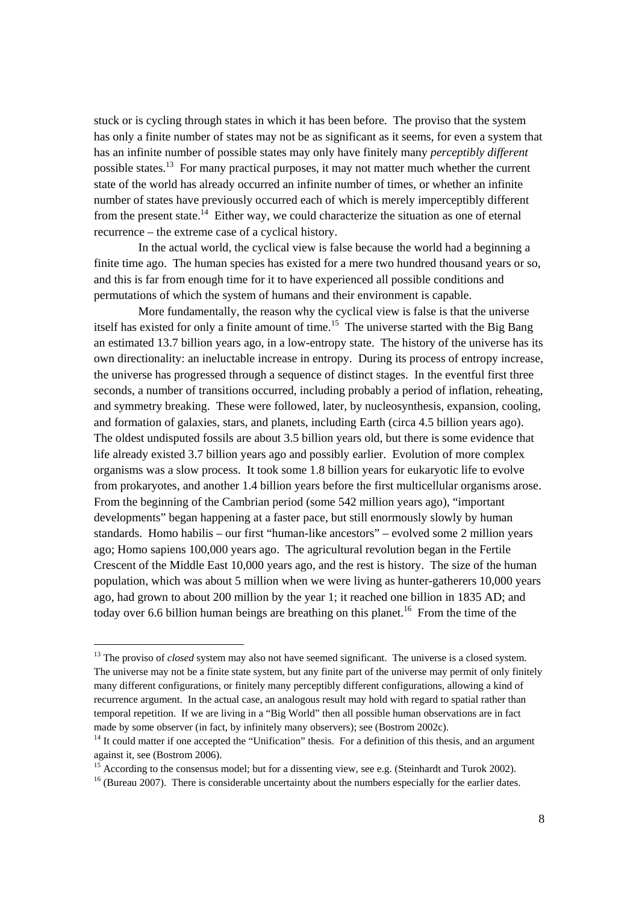stuck or is cycling through states in which it has been before. The proviso that the system has only a finite number of states may not be as significant as it seems, for even a system that has an infinite number of possible states may only have finitely many *perceptibly different* possible states.13 For many practical purposes, it may not matter much whether the current state of the world has already occurred an infinite number of times, or whether an infinite number of states have previously occurred each of which is merely imperceptibly different from the present state.<sup>14</sup> Either way, we could characterize the situation as one of eternal recurrence – the extreme case of a cyclical history.

 In the actual world, the cyclical view is false because the world had a beginning a finite time ago. The human species has existed for a mere two hundred thousand years or so, and this is far from enough time for it to have experienced all possible conditions and permutations of which the system of humans and their environment is capable.

 More fundamentally, the reason why the cyclical view is false is that the universe itself has existed for only a finite amount of time.<sup>15</sup> The universe started with the Big Bang an estimated 13.7 billion years ago, in a low-entropy state. The history of the universe has its own directionality: an ineluctable increase in entropy. During its process of entropy increase, the universe has progressed through a sequence of distinct stages. In the eventful first three seconds, a number of transitions occurred, including probably a period of inflation, reheating, and symmetry breaking. These were followed, later, by nucleosynthesis, expansion, cooling, and formation of galaxies, stars, and planets, including Earth (circa 4.5 billion years ago). The oldest undisputed fossils are about 3.5 billion years old, but there is some evidence that life already existed 3.7 billion years ago and possibly earlier. Evolution of more complex organisms was a slow process. It took some 1.8 billion years for eukaryotic life to evolve from prokaryotes, and another 1.4 billion years before the first multicellular organisms arose. From the beginning of the Cambrian period (some 542 million years ago), "important developments" began happening at a faster pace, but still enormously slowly by human standards. Homo habilis – our first "human-like ancestors" – evolved some 2 million years ago; Homo sapiens 100,000 years ago. The agricultural revolution began in the Fertile Crescent of the Middle East 10,000 years ago, and the rest is history. The size of the human population, which was about 5 million when we were living as hunter-gatherers 10,000 years ago, had grown to about 200 million by the year 1; it reached one billion in 1835 AD; and today over 6.6 billion human beings are breathing on this planet.<sup>16</sup> From the time of the

l

 $15$  According to the consensus model; but for a dissenting view, see e.g. (Steinhardt and Turok 2002).

<sup>&</sup>lt;sup>13</sup> The proviso of *closed* system may also not have seemed significant. The universe is a closed system. The universe may not be a finite state system, but any finite part of the universe may permit of only finitely many different configurations, or finitely many perceptibly different configurations, allowing a kind of recurrence argument. In the actual case, an analogous result may hold with regard to spatial rather than temporal repetition. If we are living in a "Big World" then all possible human observations are in fact made by some observer (in fact, by infinitely many observers); see (Bostrom 2002c).

<sup>&</sup>lt;sup>14</sup> It could matter if one accepted the "Unification" thesis. For a definition of this thesis, and an argument against it, see (Bostrom 2006).

<sup>&</sup>lt;sup>16</sup> (Bureau 2007). There is considerable uncertainty about the numbers especially for the earlier dates.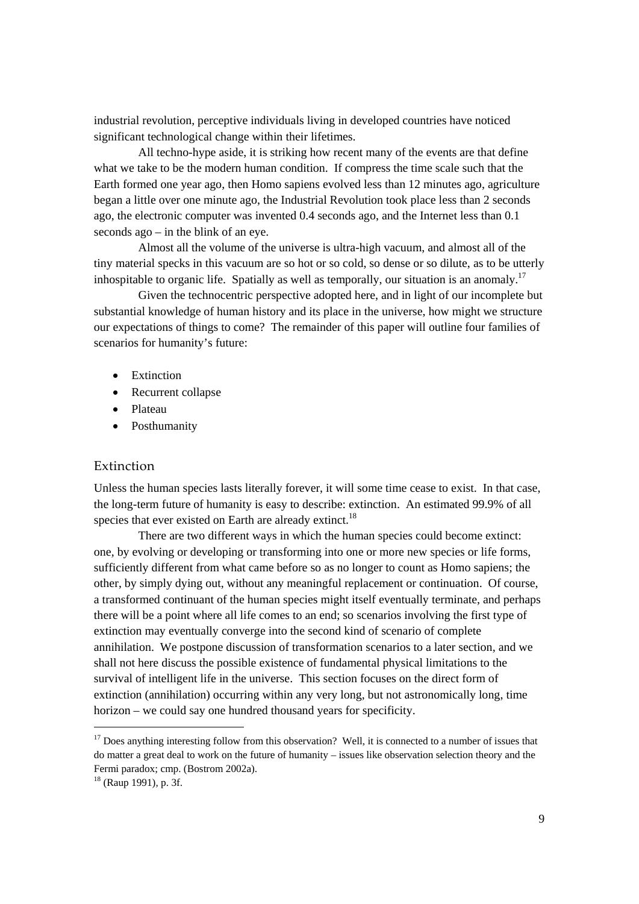industrial revolution, perceptive individuals living in developed countries have noticed significant technological change within their lifetimes.

 All techno-hype aside, it is striking how recent many of the events are that define what we take to be the modern human condition. If compress the time scale such that the Earth formed one year ago, then Homo sapiens evolved less than 12 minutes ago, agriculture began a little over one minute ago, the Industrial Revolution took place less than 2 seconds ago, the electronic computer was invented 0.4 seconds ago, and the Internet less than 0.1 seconds ago – in the blink of an eye.

 Almost all the volume of the universe is ultra-high vacuum, and almost all of the tiny material specks in this vacuum are so hot or so cold, so dense or so dilute, as to be utterly inhospitable to organic life. Spatially as well as temporally, our situation is an anomaly.<sup>17</sup>

 Given the technocentric perspective adopted here, and in light of our incomplete but substantial knowledge of human history and its place in the universe, how might we structure our expectations of things to come? The remainder of this paper will outline four families of scenarios for humanity's future:

- Extinction
- Recurrent collapse
- Plateau
- Posthumanity

# Extinction

Unless the human species lasts literally forever, it will some time cease to exist. In that case, the long-term future of humanity is easy to describe: extinction. An estimated 99.9% of all species that ever existed on Earth are already extinct.<sup>18</sup>

 There are two different ways in which the human species could become extinct: one, by evolving or developing or transforming into one or more new species or life forms, sufficiently different from what came before so as no longer to count as Homo sapiens; the other, by simply dying out, without any meaningful replacement or continuation. Of course, a transformed continuant of the human species might itself eventually terminate, and perhaps there will be a point where all life comes to an end; so scenarios involving the first type of extinction may eventually converge into the second kind of scenario of complete annihilation. We postpone discussion of transformation scenarios to a later section, and we shall not here discuss the possible existence of fundamental physical limitations to the survival of intelligent life in the universe. This section focuses on the direct form of extinction (annihilation) occurring within any very long, but not astronomically long, time horizon – we could say one hundred thousand years for specificity.

<sup>&</sup>lt;sup>17</sup> Does anything interesting follow from this observation? Well, it is connected to a number of issues that do matter a great deal to work on the future of humanity – issues like observation selection theory and the Fermi paradox; cmp. (Bostrom 2002a).

 $18$  (Raup 1991), p. 3f.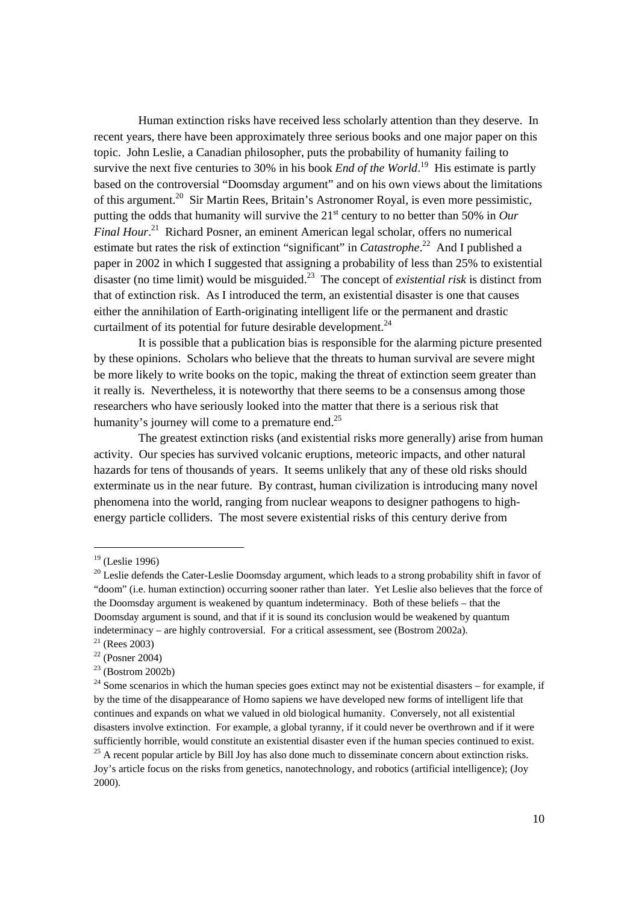Human extinction risks have received less scholarly attention than they deserve. In recent years, there have been approximately three serious books and one major paper on this topic. John Leslie, a Canadian philosopher, puts the probability of humanity failing to survive the next five centuries to 30% in his book *End of the World*.<sup>19</sup> His estimate is partly based on the controversial "Doomsday argument" and on his own views about the limitations of this argument.20 Sir Martin Rees, Britain's Astronomer Royal, is even more pessimistic, putting the odds that humanity will survive the  $21<sup>st</sup>$  century to no better than 50% in *Our* Final Hour.<sup>21</sup> Richard Posner, an eminent American legal scholar, offers no numerical estimate but rates the risk of extinction "significant" in *Catastrophe*.<sup>22</sup> And I published a paper in 2002 in which I suggested that assigning a probability of less than 25% to existential disaster (no time limit) would be misguided.23 The concept of *existential risk* is distinct from that of extinction risk. As I introduced the term, an existential disaster is one that causes either the annihilation of Earth-originating intelligent life or the permanent and drastic curtailment of its potential for future desirable development. $^{24}$ 

 It is possible that a publication bias is responsible for the alarming picture presented by these opinions. Scholars who believe that the threats to human survival are severe might be more likely to write books on the topic, making the threat of extinction seem greater than it really is. Nevertheless, it is noteworthy that there seems to be a consensus among those researchers who have seriously looked into the matter that there is a serious risk that humanity's journey will come to a premature end.<sup>25</sup>

 The greatest extinction risks (and existential risks more generally) arise from human activity. Our species has survived volcanic eruptions, meteoric impacts, and other natural hazards for tens of thousands of years. It seems unlikely that any of these old risks should exterminate us in the near future. By contrast, human civilization is introducing many novel phenomena into the world, ranging from nuclear weapons to designer pathogens to highenergy particle colliders. The most severe existential risks of this century derive from

 $19$  (Leslie 1996)

<sup>&</sup>lt;sup>20</sup> Leslie defends the Cater-Leslie Doomsday argument, which leads to a strong probability shift in favor of "doom" (i.e. human extinction) occurring sooner rather than later. Yet Leslie also believes that the force of the Doomsday argument is weakened by quantum indeterminacy. Both of these beliefs – that the Doomsday argument is sound, and that if it is sound its conclusion would be weakened by quantum indeterminacy – are highly controversial. For a critical assessment, see (Bostrom 2002a).

 $21$  (Rees 2003)

 $22$  (Posner 2004)

 $23$  (Bostrom 2002b)

 $24$  Some scenarios in which the human species goes extinct may not be existential disasters – for example, if by the time of the disappearance of Homo sapiens we have developed new forms of intelligent life that continues and expands on what we valued in old biological humanity. Conversely, not all existential disasters involve extinction. For example, a global tyranny, if it could never be overthrown and if it were sufficiently horrible, would constitute an existential disaster even if the human species continued to exist.

 $25$  A recent popular article by Bill Joy has also done much to disseminate concern about extinction risks. Joy's article focus on the risks from genetics, nanotechnology, and robotics (artificial intelligence); (Joy 2000).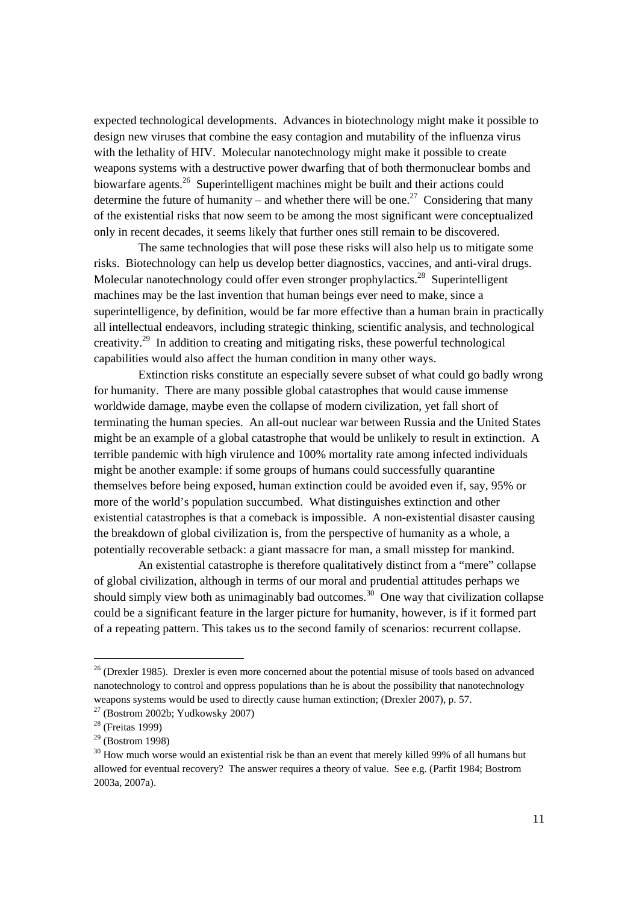expected technological developments. Advances in biotechnology might make it possible to design new viruses that combine the easy contagion and mutability of the influenza virus with the lethality of HIV. Molecular nanotechnology might make it possible to create weapons systems with a destructive power dwarfing that of both thermonuclear bombs and biowarfare agents.<sup>26</sup> Superintelligent machines might be built and their actions could determine the future of humanity – and whether there will be one.<sup>27</sup> Considering that many of the existential risks that now seem to be among the most significant were conceptualized only in recent decades, it seems likely that further ones still remain to be discovered.

 The same technologies that will pose these risks will also help us to mitigate some risks. Biotechnology can help us develop better diagnostics, vaccines, and anti-viral drugs. Molecular nanotechnology could offer even stronger prophylactics.<sup>28</sup> Superintelligent machines may be the last invention that human beings ever need to make, since a superintelligence, by definition, would be far more effective than a human brain in practically all intellectual endeavors, including strategic thinking, scientific analysis, and technological creativity.<sup>29</sup> In addition to creating and mitigating risks, these powerful technological capabilities would also affect the human condition in many other ways.

 Extinction risks constitute an especially severe subset of what could go badly wrong for humanity. There are many possible global catastrophes that would cause immense worldwide damage, maybe even the collapse of modern civilization, yet fall short of terminating the human species. An all-out nuclear war between Russia and the United States might be an example of a global catastrophe that would be unlikely to result in extinction. A terrible pandemic with high virulence and 100% mortality rate among infected individuals might be another example: if some groups of humans could successfully quarantine themselves before being exposed, human extinction could be avoided even if, say, 95% or more of the world's population succumbed. What distinguishes extinction and other existential catastrophes is that a comeback is impossible. A non-existential disaster causing the breakdown of global civilization is, from the perspective of humanity as a whole, a potentially recoverable setback: a giant massacre for man, a small misstep for mankind.

 An existential catastrophe is therefore qualitatively distinct from a "mere" collapse of global civilization, although in terms of our moral and prudential attitudes perhaps we should simply view both as unimaginably bad outcomes.<sup>30</sup> One way that civilization collapse could be a significant feature in the larger picture for humanity, however, is if it formed part of a repeating pattern. This takes us to the second family of scenarios: recurrent collapse.

<sup>&</sup>lt;sup>26</sup> (Drexler 1985). Drexler is even more concerned about the potential misuse of tools based on advanced nanotechnology to control and oppress populations than he is about the possibility that nanotechnology weapons systems would be used to directly cause human extinction; (Drexler 2007), p. 57.

 $27$  (Bostrom 2002b; Yudkowsky 2007)

<sup>28 (</sup>Freitas 1999)

<sup>29 (</sup>Bostrom 1998)

 $30$  How much worse would an existential risk be than an event that merely killed 99% of all humans but allowed for eventual recovery? The answer requires a theory of value. See e.g. (Parfit 1984; Bostrom 2003a, 2007a).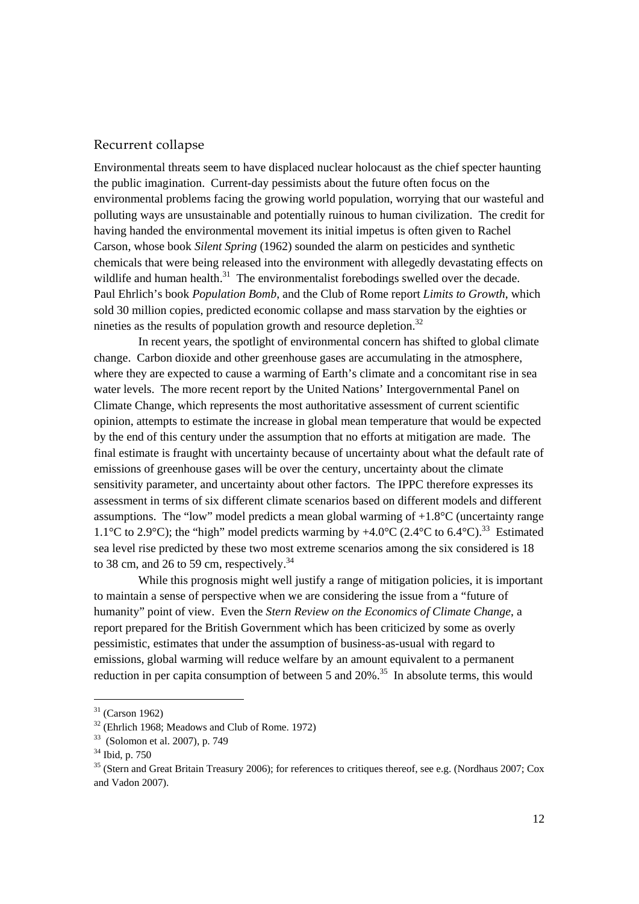#### Recurrent collapse

Environmental threats seem to have displaced nuclear holocaust as the chief specter haunting the public imagination. Current-day pessimists about the future often focus on the environmental problems facing the growing world population, worrying that our wasteful and polluting ways are unsustainable and potentially ruinous to human civilization. The credit for having handed the environmental movement its initial impetus is often given to Rachel Carson, whose book *Silent Spring* (1962) sounded the alarm on pesticides and synthetic chemicals that were being released into the environment with allegedly devastating effects on wildlife and human health.<sup>31</sup> The environmentalist forebodings swelled over the decade. Paul Ehrlich's book *Population Bomb*, and the Club of Rome report *Limits to Growth*, which sold 30 million copies, predicted economic collapse and mass starvation by the eighties or nineties as the results of population growth and resource depletion.<sup>32</sup>

 In recent years, the spotlight of environmental concern has shifted to global climate change. Carbon dioxide and other greenhouse gases are accumulating in the atmosphere, where they are expected to cause a warming of Earth's climate and a concomitant rise in sea water levels. The more recent report by the United Nations' Intergovernmental Panel on Climate Change, which represents the most authoritative assessment of current scientific opinion, attempts to estimate the increase in global mean temperature that would be expected by the end of this century under the assumption that no efforts at mitigation are made. The final estimate is fraught with uncertainty because of uncertainty about what the default rate of emissions of greenhouse gases will be over the century, uncertainty about the climate sensitivity parameter, and uncertainty about other factors. The IPPC therefore expresses its assessment in terms of six different climate scenarios based on different models and different assumptions. The "low" model predicts a mean global warming of  $+1.8\degree C$  (uncertainty range 1.1°C to 2.9°C); the "high" model predicts warming by  $+4.0$ °C (2.4°C to 6.4°C).<sup>33</sup> Estimated sea level rise predicted by these two most extreme scenarios among the six considered is 18 to 38 cm, and 26 to 59 cm, respectively.<sup>34</sup>

While this prognosis might well justify a range of mitigation policies, it is important to maintain a sense of perspective when we are considering the issue from a "future of humanity" point of view. Even the *Stern Review on the Economics of Climate Change*, a report prepared for the British Government which has been criticized by some as overly pessimistic, estimates that under the assumption of business-as-usual with regard to emissions, global warming will reduce welfare by an amount equivalent to a permanent reduction in per capita consumption of between 5 and  $20\%$ <sup>35</sup>. In absolute terms, this would

<sup>31 (</sup>Carson 1962)

<sup>32 (</sup>Ehrlich 1968; Meadows and Club of Rome. 1972)

<sup>33 (</sup>Solomon et al. 2007), p. 749

<sup>34</sup> Ibid, p. 750

<sup>&</sup>lt;sup>35</sup> (Stern and Great Britain Treasury 2006); for references to critiques thereof, see e.g. (Nordhaus 2007; Cox and Vadon 2007).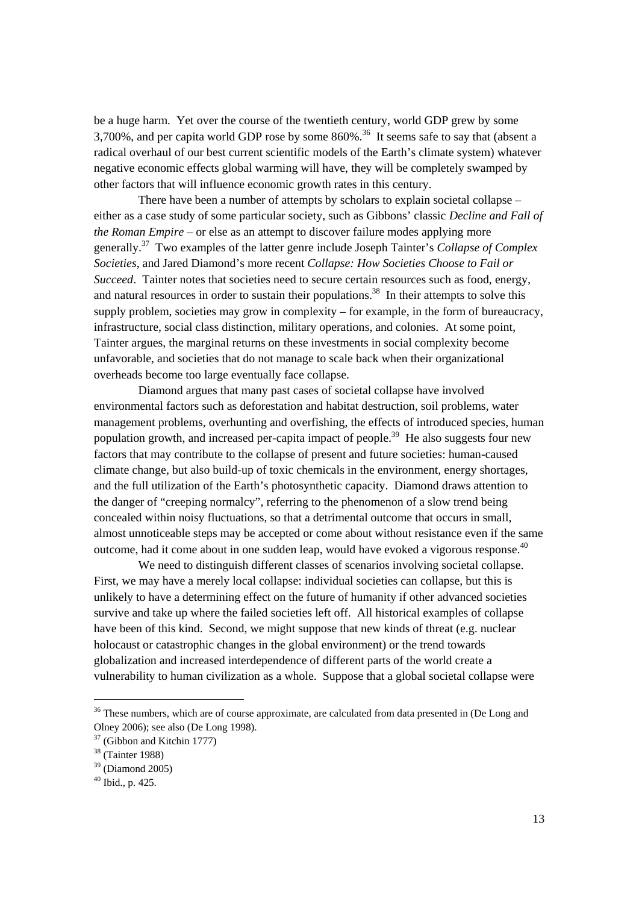be a huge harm. Yet over the course of the twentieth century, world GDP grew by some 3,700%, and per capita world GDP rose by some  $860\%$ <sup>36</sup> It seems safe to say that (absent a radical overhaul of our best current scientific models of the Earth's climate system) whatever negative economic effects global warming will have, they will be completely swamped by other factors that will influence economic growth rates in this century.

 There have been a number of attempts by scholars to explain societal collapse – either as a case study of some particular society, such as Gibbons' classic *Decline and Fall of the Roman Empire* – or else as an attempt to discover failure modes applying more generally.37 Two examples of the latter genre include Joseph Tainter's *Collapse of Complex Societies*, and Jared Diamond's more recent *Collapse: How Societies Choose to Fail or Succeed.* Tainter notes that societies need to secure certain resources such as food, energy, and natural resources in order to sustain their populations.<sup>38</sup> In their attempts to solve this supply problem, societies may grow in complexity – for example, in the form of bureaucracy, infrastructure, social class distinction, military operations, and colonies. At some point, Tainter argues, the marginal returns on these investments in social complexity become unfavorable, and societies that do not manage to scale back when their organizational overheads become too large eventually face collapse.

 Diamond argues that many past cases of societal collapse have involved environmental factors such as deforestation and habitat destruction, soil problems, water management problems, overhunting and overfishing, the effects of introduced species, human population growth, and increased per-capita impact of people.<sup>39</sup> He also suggests four new factors that may contribute to the collapse of present and future societies: human-caused climate change, but also build-up of toxic chemicals in the environment, energy shortages, and the full utilization of the Earth's photosynthetic capacity. Diamond draws attention to the danger of "creeping normalcy", referring to the phenomenon of a slow trend being concealed within noisy fluctuations, so that a detrimental outcome that occurs in small, almost unnoticeable steps may be accepted or come about without resistance even if the same outcome, had it come about in one sudden leap, would have evoked a vigorous response.<sup>40</sup>

 We need to distinguish different classes of scenarios involving societal collapse. First, we may have a merely local collapse: individual societies can collapse, but this is unlikely to have a determining effect on the future of humanity if other advanced societies survive and take up where the failed societies left off. All historical examples of collapse have been of this kind. Second, we might suppose that new kinds of threat (e.g. nuclear holocaust or catastrophic changes in the global environment) or the trend towards globalization and increased interdependence of different parts of the world create a vulnerability to human civilization as a whole. Suppose that a global societal collapse were

<sup>&</sup>lt;sup>36</sup> These numbers, which are of course approximate, are calculated from data presented in (De Long and Olney 2006); see also (De Long 1998).

<sup>37 (</sup>Gibbon and Kitchin 1777)

<sup>38 (</sup>Tainter 1988)

 $39$  (Diamond 2005)

 $40$  Ibid., p. 425.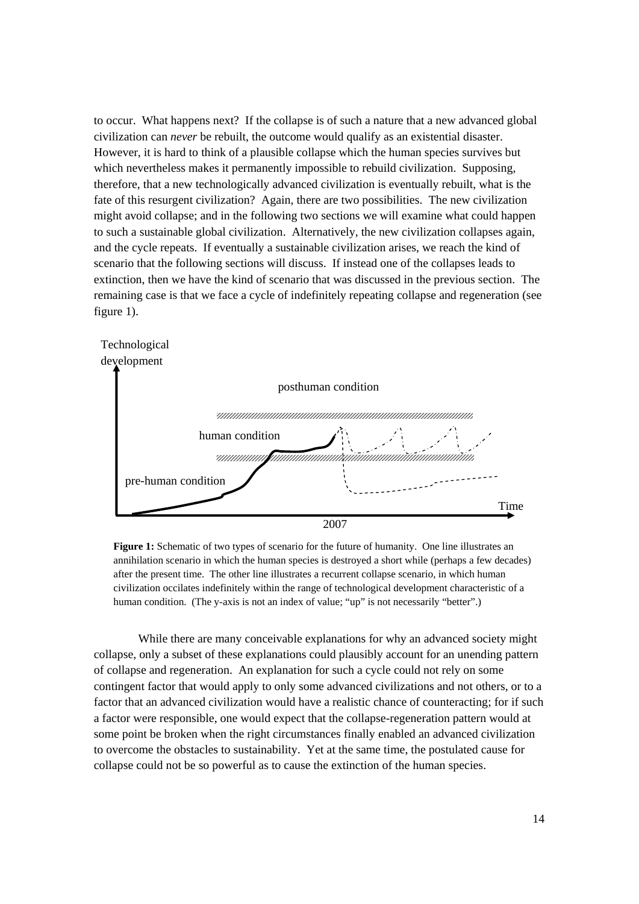to occur. What happens next? If the collapse is of such a nature that a new advanced global civilization can *never* be rebuilt, the outcome would qualify as an existential disaster. However, it is hard to think of a plausible collapse which the human species survives but which nevertheless makes it permanently impossible to rebuild civilization. Supposing, therefore, that a new technologically advanced civilization is eventually rebuilt, what is the fate of this resurgent civilization? Again, there are two possibilities. The new civilization might avoid collapse; and in the following two sections we will examine what could happen to such a sustainable global civilization. Alternatively, the new civilization collapses again, and the cycle repeats. If eventually a sustainable civilization arises, we reach the kind of scenario that the following sections will discuss. If instead one of the collapses leads to extinction, then we have the kind of scenario that was discussed in the previous section. The remaining case is that we face a cycle of indefinitely repeating collapse and regeneration (see figure 1).



Figure 1: Schematic of two types of scenario for the future of humanity. One line illustrates an annihilation scenario in which the human species is destroyed a short while (perhaps a few decades) after the present time. The other line illustrates a recurrent collapse scenario, in which human civilization occilates indefinitely within the range of technological development characteristic of a human condition. (The y-axis is not an index of value; "up" is not necessarily "better".)

 While there are many conceivable explanations for why an advanced society might collapse, only a subset of these explanations could plausibly account for an unending pattern of collapse and regeneration. An explanation for such a cycle could not rely on some contingent factor that would apply to only some advanced civilizations and not others, or to a factor that an advanced civilization would have a realistic chance of counteracting; for if such a factor were responsible, one would expect that the collapse-regeneration pattern would at some point be broken when the right circumstances finally enabled an advanced civilization to overcome the obstacles to sustainability. Yet at the same time, the postulated cause for collapse could not be so powerful as to cause the extinction of the human species.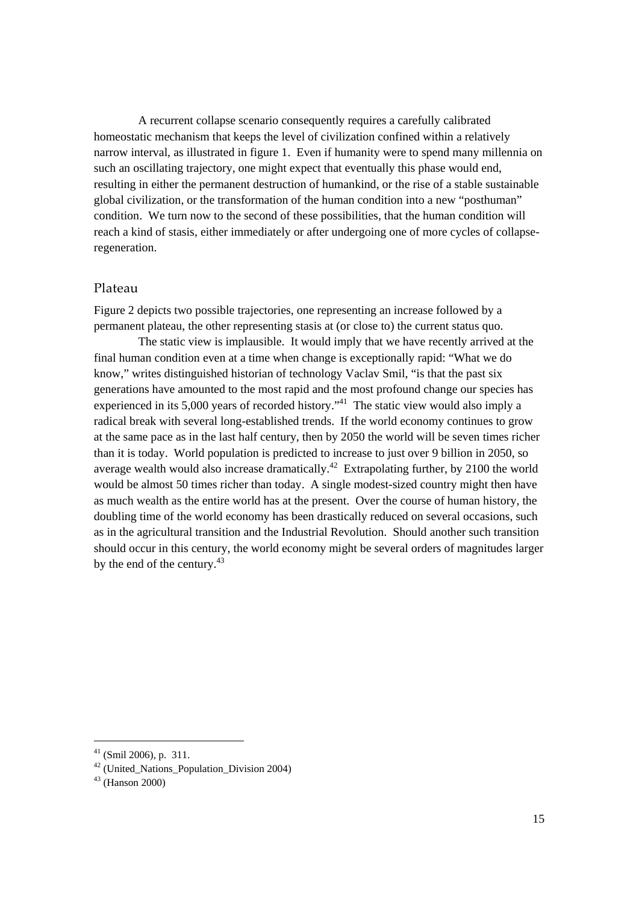A recurrent collapse scenario consequently requires a carefully calibrated homeostatic mechanism that keeps the level of civilization confined within a relatively narrow interval, as illustrated in figure 1. Even if humanity were to spend many millennia on such an oscillating trajectory, one might expect that eventually this phase would end, resulting in either the permanent destruction of humankind, or the rise of a stable sustainable global civilization, or the transformation of the human condition into a new "posthuman" condition. We turn now to the second of these possibilities, that the human condition will reach a kind of stasis, either immediately or after undergoing one of more cycles of collapseregeneration.

#### Plateau

Figure 2 depicts two possible trajectories, one representing an increase followed by a permanent plateau, the other representing stasis at (or close to) the current status quo.

 The static view is implausible. It would imply that we have recently arrived at the final human condition even at a time when change is exceptionally rapid: "What we do know," writes distinguished historian of technology Vaclav Smil, "is that the past six generations have amounted to the most rapid and the most profound change our species has experienced in its 5,000 years of recorded history."<sup>41</sup> The static view would also imply a radical break with several long-established trends. If the world economy continues to grow at the same pace as in the last half century, then by 2050 the world will be seven times richer than it is today. World population is predicted to increase to just over 9 billion in 2050, so average wealth would also increase dramatically.<sup>42</sup> Extrapolating further, by 2100 the world would be almost 50 times richer than today. A single modest-sized country might then have as much wealth as the entire world has at the present. Over the course of human history, the doubling time of the world economy has been drastically reduced on several occasions, such as in the agricultural transition and the Industrial Revolution. Should another such transition should occur in this century, the world economy might be several orders of magnitudes larger by the end of the century.<sup>43</sup>

l

 $41$  (Smil 2006), p. 311.

<sup>&</sup>lt;sup>42</sup> (United Nations Population\_Division 2004)

<sup>43 (</sup>Hanson 2000)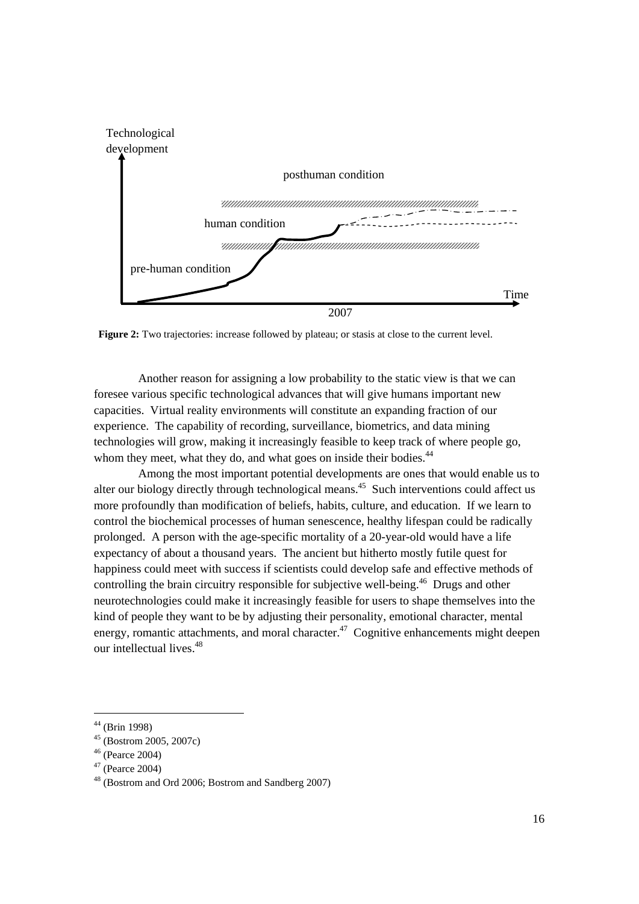

Figure 2: Two trajectories: increase followed by plateau; or stasis at close to the current level.

 Another reason for assigning a low probability to the static view is that we can foresee various specific technological advances that will give humans important new capacities. Virtual reality environments will constitute an expanding fraction of our experience. The capability of recording, surveillance, biometrics, and data mining technologies will grow, making it increasingly feasible to keep track of where people go, whom they meet, what they do, and what goes on inside their bodies.<sup>44</sup>

 Among the most important potential developments are ones that would enable us to alter our biology directly through technological means.<sup>45</sup> Such interventions could affect us more profoundly than modification of beliefs, habits, culture, and education. If we learn to control the biochemical processes of human senescence, healthy lifespan could be radically prolonged. A person with the age-specific mortality of a 20-year-old would have a life expectancy of about a thousand years. The ancient but hitherto mostly futile quest for happiness could meet with success if scientists could develop safe and effective methods of controlling the brain circuitry responsible for subjective well-being.<sup>46</sup> Drugs and other neurotechnologies could make it increasingly feasible for users to shape themselves into the kind of people they want to be by adjusting their personality, emotional character, mental energy, romantic attachments, and moral character.<sup>47</sup> Cognitive enhancements might deepen our intellectual lives.48

<sup>44 (</sup>Brin 1998)

<sup>45 (</sup>Bostrom 2005, 2007c)

<sup>46 (</sup>Pearce 2004)

<sup>47 (</sup>Pearce 2004)

<sup>48 (</sup>Bostrom and Ord 2006; Bostrom and Sandberg 2007)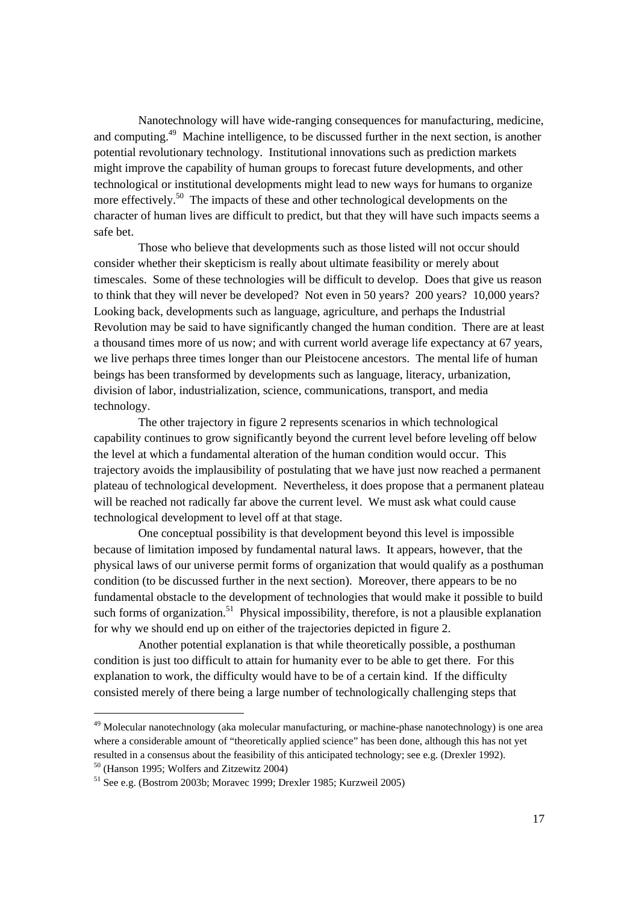Nanotechnology will have wide-ranging consequences for manufacturing, medicine, and computing.49 Machine intelligence, to be discussed further in the next section, is another potential revolutionary technology. Institutional innovations such as prediction markets might improve the capability of human groups to forecast future developments, and other technological or institutional developments might lead to new ways for humans to organize more effectively.<sup>50</sup> The impacts of these and other technological developments on the character of human lives are difficult to predict, but that they will have such impacts seems a safe bet.

 Those who believe that developments such as those listed will not occur should consider whether their skepticism is really about ultimate feasibility or merely about timescales. Some of these technologies will be difficult to develop. Does that give us reason to think that they will never be developed? Not even in 50 years? 200 years? 10,000 years? Looking back, developments such as language, agriculture, and perhaps the Industrial Revolution may be said to have significantly changed the human condition. There are at least a thousand times more of us now; and with current world average life expectancy at 67 years, we live perhaps three times longer than our Pleistocene ancestors. The mental life of human beings has been transformed by developments such as language, literacy, urbanization, division of labor, industrialization, science, communications, transport, and media technology.

 The other trajectory in figure 2 represents scenarios in which technological capability continues to grow significantly beyond the current level before leveling off below the level at which a fundamental alteration of the human condition would occur. This trajectory avoids the implausibility of postulating that we have just now reached a permanent plateau of technological development. Nevertheless, it does propose that a permanent plateau will be reached not radically far above the current level. We must ask what could cause technological development to level off at that stage.

 One conceptual possibility is that development beyond this level is impossible because of limitation imposed by fundamental natural laws. It appears, however, that the physical laws of our universe permit forms of organization that would qualify as a posthuman condition (to be discussed further in the next section). Moreover, there appears to be no fundamental obstacle to the development of technologies that would make it possible to build such forms of organization.<sup>51</sup> Physical impossibility, therefore, is not a plausible explanation for why we should end up on either of the trajectories depicted in figure 2.

 Another potential explanation is that while theoretically possible, a posthuman condition is just too difficult to attain for humanity ever to be able to get there. For this explanation to work, the difficulty would have to be of a certain kind. If the difficulty consisted merely of there being a large number of technologically challenging steps that

 $49$  Molecular nanotechnology (aka molecular manufacturing, or machine-phase nanotechnology) is one area where a considerable amount of "theoretically applied science" has been done, although this has not yet resulted in a consensus about the feasibility of this anticipated technology; see e.g. (Drexler 1992). 50 (Hanson 1995; Wolfers and Zitzewitz 2004)

<sup>51</sup> See e.g. (Bostrom 2003b; Moravec 1999; Drexler 1985; Kurzweil 2005)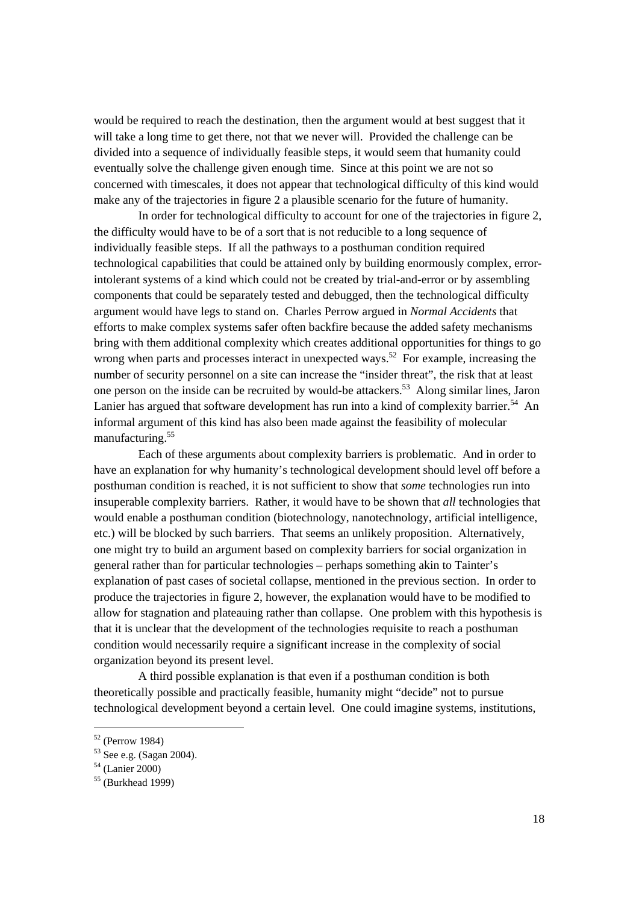would be required to reach the destination, then the argument would at best suggest that it will take a long time to get there, not that we never will. Provided the challenge can be divided into a sequence of individually feasible steps, it would seem that humanity could eventually solve the challenge given enough time. Since at this point we are not so concerned with timescales, it does not appear that technological difficulty of this kind would make any of the trajectories in figure 2 a plausible scenario for the future of humanity.

 In order for technological difficulty to account for one of the trajectories in figure 2, the difficulty would have to be of a sort that is not reducible to a long sequence of individually feasible steps. If all the pathways to a posthuman condition required technological capabilities that could be attained only by building enormously complex, errorintolerant systems of a kind which could not be created by trial-and-error or by assembling components that could be separately tested and debugged, then the technological difficulty argument would have legs to stand on. Charles Perrow argued in *Normal Accidents* that efforts to make complex systems safer often backfire because the added safety mechanisms bring with them additional complexity which creates additional opportunities for things to go wrong when parts and processes interact in unexpected ways.<sup>52</sup> For example, increasing the number of security personnel on a site can increase the "insider threat", the risk that at least one person on the inside can be recruited by would-be attackers.<sup>53</sup> Along similar lines, Jaron Lanier has argued that software development has run into a kind of complexity barrier.<sup>54</sup> An informal argument of this kind has also been made against the feasibility of molecular manufacturing.55

 Each of these arguments about complexity barriers is problematic. And in order to have an explanation for why humanity's technological development should level off before a posthuman condition is reached, it is not sufficient to show that *some* technologies run into insuperable complexity barriers. Rather, it would have to be shown that *all* technologies that would enable a posthuman condition (biotechnology, nanotechnology, artificial intelligence, etc.) will be blocked by such barriers. That seems an unlikely proposition. Alternatively, one might try to build an argument based on complexity barriers for social organization in general rather than for particular technologies – perhaps something akin to Tainter's explanation of past cases of societal collapse, mentioned in the previous section. In order to produce the trajectories in figure 2, however, the explanation would have to be modified to allow for stagnation and plateauing rather than collapse. One problem with this hypothesis is that it is unclear that the development of the technologies requisite to reach a posthuman condition would necessarily require a significant increase in the complexity of social organization beyond its present level.

 A third possible explanation is that even if a posthuman condition is both theoretically possible and practically feasible, humanity might "decide" not to pursue technological development beyond a certain level. One could imagine systems, institutions,

<sup>52 (</sup>Perrow 1984)

<sup>53</sup> See e.g. (Sagan 2004).

<sup>54 (</sup>Lanier 2000)

 $55$  (Burkhead 1999)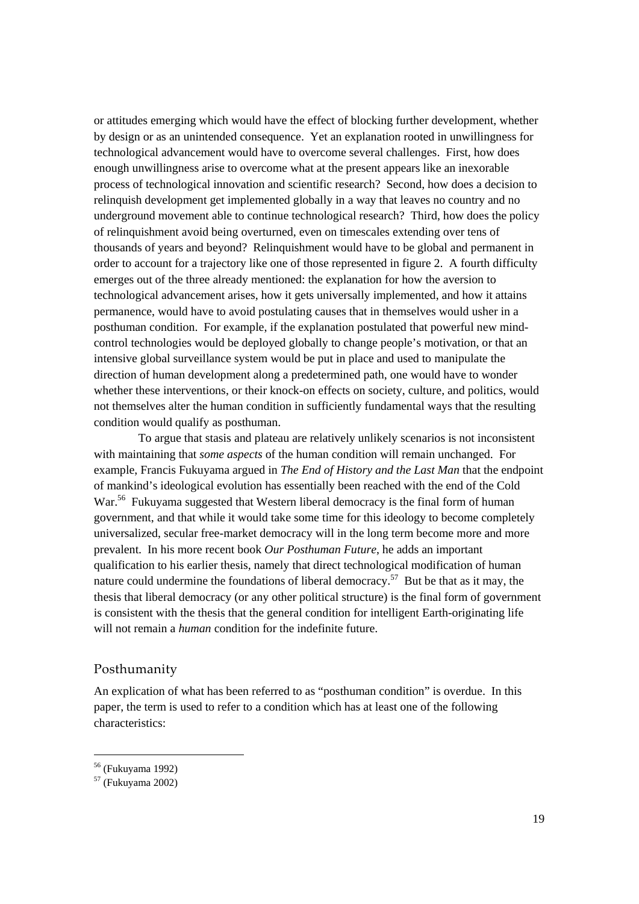or attitudes emerging which would have the effect of blocking further development, whether by design or as an unintended consequence. Yet an explanation rooted in unwillingness for technological advancement would have to overcome several challenges. First, how does enough unwillingness arise to overcome what at the present appears like an inexorable process of technological innovation and scientific research? Second, how does a decision to relinquish development get implemented globally in a way that leaves no country and no underground movement able to continue technological research? Third, how does the policy of relinquishment avoid being overturned, even on timescales extending over tens of thousands of years and beyond? Relinquishment would have to be global and permanent in order to account for a trajectory like one of those represented in figure 2. A fourth difficulty emerges out of the three already mentioned: the explanation for how the aversion to technological advancement arises, how it gets universally implemented, and how it attains permanence, would have to avoid postulating causes that in themselves would usher in a posthuman condition. For example, if the explanation postulated that powerful new mindcontrol technologies would be deployed globally to change people's motivation, or that an intensive global surveillance system would be put in place and used to manipulate the direction of human development along a predetermined path, one would have to wonder whether these interventions, or their knock-on effects on society, culture, and politics, would not themselves alter the human condition in sufficiently fundamental ways that the resulting condition would qualify as posthuman.

 To argue that stasis and plateau are relatively unlikely scenarios is not inconsistent with maintaining that *some aspects* of the human condition will remain unchanged. For example, Francis Fukuyama argued in *The End of History and the Last Man* that the endpoint of mankind's ideological evolution has essentially been reached with the end of the Cold War.<sup>56</sup> Fukuyama suggested that Western liberal democracy is the final form of human government, and that while it would take some time for this ideology to become completely universalized, secular free-market democracy will in the long term become more and more prevalent. In his more recent book *Our Posthuman Future*, he adds an important qualification to his earlier thesis, namely that direct technological modification of human nature could undermine the foundations of liberal democracy.<sup>57</sup> But be that as it may, the thesis that liberal democracy (or any other political structure) is the final form of government is consistent with the thesis that the general condition for intelligent Earth-originating life will not remain a *human* condition for the indefinite future.

# Posthumanity

An explication of what has been referred to as "posthuman condition" is overdue. In this paper, the term is used to refer to a condition which has at least one of the following characteristics:

<sup>56 (</sup>Fukuyama 1992)

<sup>57 (</sup>Fukuyama 2002)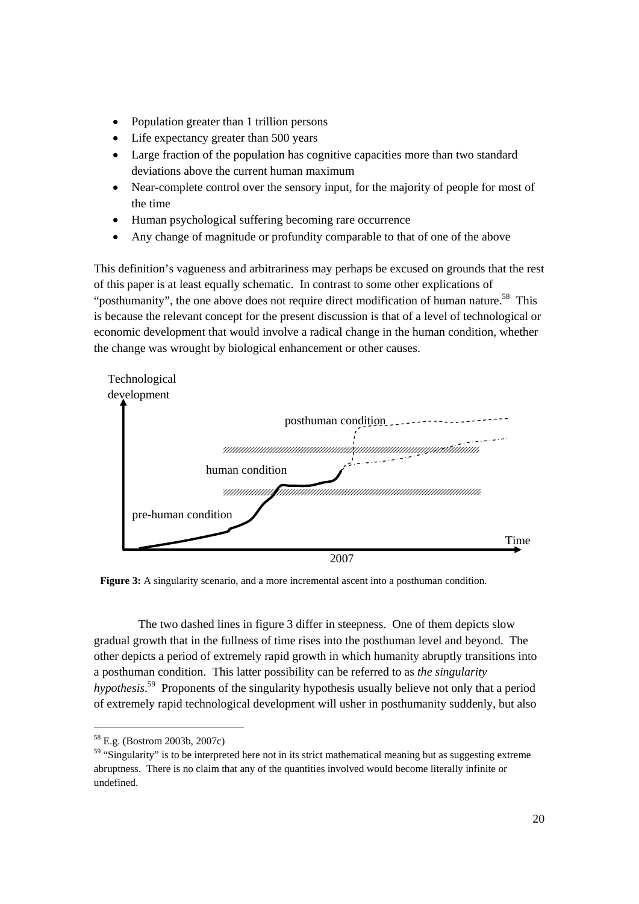- Population greater than 1 trillion persons
- Life expectancy greater than 500 years
- Large fraction of the population has cognitive capacities more than two standard deviations above the current human maximum
- Near-complete control over the sensory input, for the majority of people for most of the time
- Human psychological suffering becoming rare occurrence
- Any change of magnitude or profundity comparable to that of one of the above

This definition's vagueness and arbitrariness may perhaps be excused on grounds that the rest of this paper is at least equally schematic. In contrast to some other explications of "posthumanity", the one above does not require direct modification of human nature.<sup>58</sup> This is because the relevant concept for the present discussion is that of a level of technological or economic development that would involve a radical change in the human condition, whether the change was wrought by biological enhancement or other causes.



Figure 3: A singularity scenario, and a more incremental ascent into a posthuman condition.

 The two dashed lines in figure 3 differ in steepness. One of them depicts slow gradual growth that in the fullness of time rises into the posthuman level and beyond. The other depicts a period of extremely rapid growth in which humanity abruptly transitions into a posthuman condition. This latter possibility can be referred to as *the singularity hypothesis*. 59 Proponents of the singularity hypothesis usually believe not only that a period of extremely rapid technological development will usher in posthumanity suddenly, but also

<sup>58</sup> E.g. (Bostrom 2003b, 2007c)

<sup>&</sup>lt;sup>59</sup> "Singularity" is to be interpreted here not in its strict mathematical meaning but as suggesting extreme abruptness. There is no claim that any of the quantities involved would become literally infinite or undefined.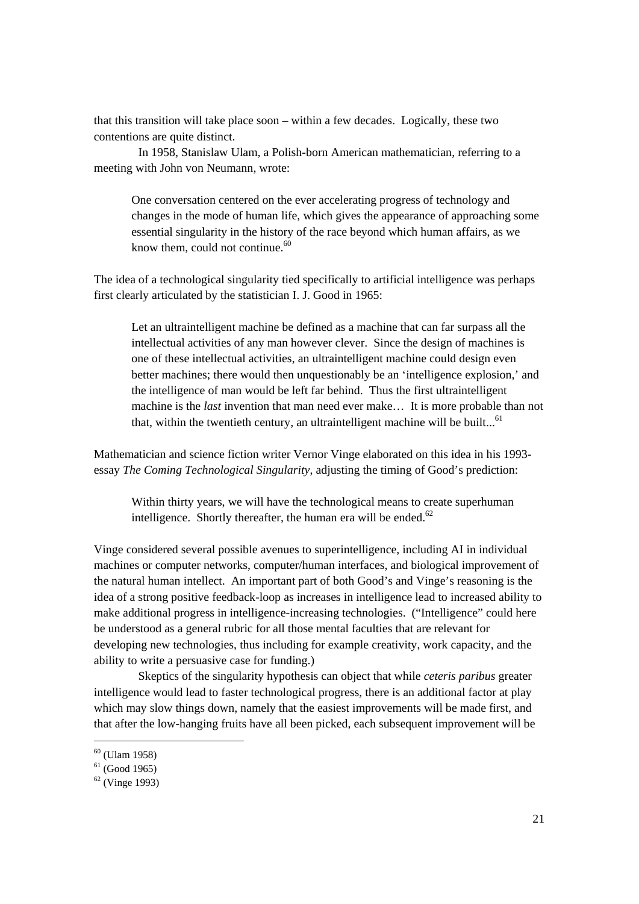that this transition will take place soon – within a few decades. Logically, these two contentions are quite distinct.

 In 1958, Stanislaw Ulam, a Polish-born American mathematician, referring to a meeting with John von Neumann, wrote:

One conversation centered on the ever accelerating progress of technology and changes in the mode of human life, which gives the appearance of approaching some essential singularity in the history of the race beyond which human affairs, as we know them, could not continue.<sup>60</sup>

The idea of a technological singularity tied specifically to artificial intelligence was perhaps first clearly articulated by the statistician I. J. Good in 1965:

Let an ultraintelligent machine be defined as a machine that can far surpass all the intellectual activities of any man however clever. Since the design of machines is one of these intellectual activities, an ultraintelligent machine could design even better machines; there would then unquestionably be an 'intelligence explosion,' and the intelligence of man would be left far behind. Thus the first ultraintelligent machine is the *last* invention that man need ever make… It is more probable than not that, within the twentieth century, an ultraintelligent machine will be built...<sup>61</sup>

Mathematician and science fiction writer Vernor Vinge elaborated on this idea in his 1993 essay *The Coming Technological Singularity*, adjusting the timing of Good's prediction:

Within thirty years, we will have the technological means to create superhuman intelligence. Shortly thereafter, the human era will be ended. $62$ 

Vinge considered several possible avenues to superintelligence, including AI in individual machines or computer networks, computer/human interfaces, and biological improvement of the natural human intellect. An important part of both Good's and Vinge's reasoning is the idea of a strong positive feedback-loop as increases in intelligence lead to increased ability to make additional progress in intelligence-increasing technologies. ("Intelligence" could here be understood as a general rubric for all those mental faculties that are relevant for developing new technologies, thus including for example creativity, work capacity, and the ability to write a persuasive case for funding.)

 Skeptics of the singularity hypothesis can object that while *ceteris paribus* greater intelligence would lead to faster technological progress, there is an additional factor at play which may slow things down, namely that the easiest improvements will be made first, and that after the low-hanging fruits have all been picked, each subsequent improvement will be

l

 $60$  (Ulam 1958)

 $61$  (Good 1965)

 $62$  (Vinge 1993)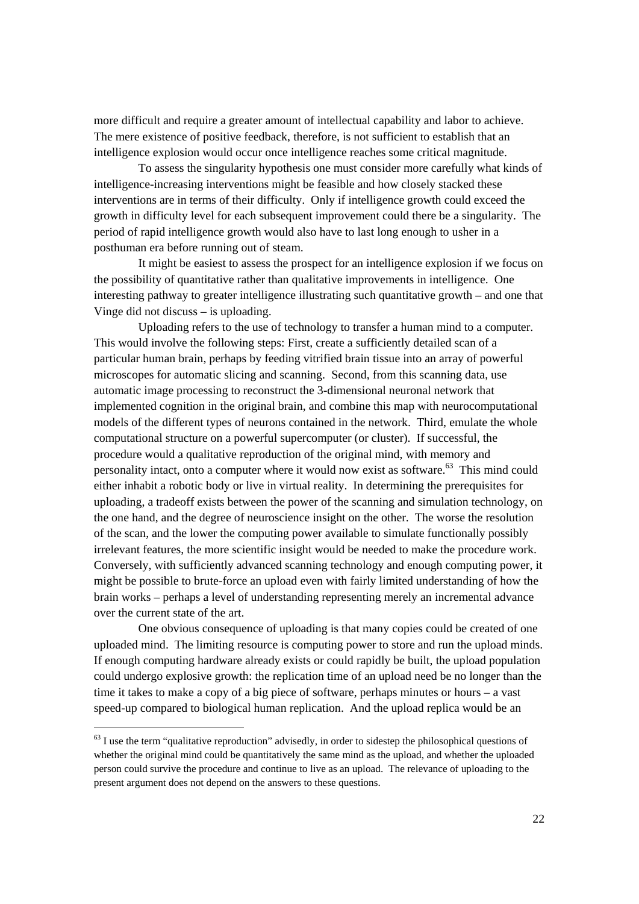more difficult and require a greater amount of intellectual capability and labor to achieve. The mere existence of positive feedback, therefore, is not sufficient to establish that an intelligence explosion would occur once intelligence reaches some critical magnitude.

 To assess the singularity hypothesis one must consider more carefully what kinds of intelligence-increasing interventions might be feasible and how closely stacked these interventions are in terms of their difficulty. Only if intelligence growth could exceed the growth in difficulty level for each subsequent improvement could there be a singularity. The period of rapid intelligence growth would also have to last long enough to usher in a posthuman era before running out of steam.

 It might be easiest to assess the prospect for an intelligence explosion if we focus on the possibility of quantitative rather than qualitative improvements in intelligence. One interesting pathway to greater intelligence illustrating such quantitative growth – and one that Vinge did not discuss – is uploading.

 Uploading refers to the use of technology to transfer a human mind to a computer. This would involve the following steps: First, create a sufficiently detailed scan of a particular human brain, perhaps by feeding vitrified brain tissue into an array of powerful microscopes for automatic slicing and scanning. Second, from this scanning data, use automatic image processing to reconstruct the 3-dimensional neuronal network that implemented cognition in the original brain, and combine this map with neurocomputational models of the different types of neurons contained in the network. Third, emulate the whole computational structure on a powerful supercomputer (or cluster). If successful, the procedure would a qualitative reproduction of the original mind, with memory and personality intact, onto a computer where it would now exist as software.63 This mind could either inhabit a robotic body or live in virtual reality. In determining the prerequisites for uploading, a tradeoff exists between the power of the scanning and simulation technology, on the one hand, and the degree of neuroscience insight on the other. The worse the resolution of the scan, and the lower the computing power available to simulate functionally possibly irrelevant features, the more scientific insight would be needed to make the procedure work. Conversely, with sufficiently advanced scanning technology and enough computing power, it might be possible to brute-force an upload even with fairly limited understanding of how the brain works – perhaps a level of understanding representing merely an incremental advance over the current state of the art.

 One obvious consequence of uploading is that many copies could be created of one uploaded mind. The limiting resource is computing power to store and run the upload minds. If enough computing hardware already exists or could rapidly be built, the upload population could undergo explosive growth: the replication time of an upload need be no longer than the time it takes to make a copy of a big piece of software, perhaps minutes or hours – a vast speed-up compared to biological human replication. And the upload replica would be an

 $63$  I use the term "qualitative reproduction" advisedly, in order to sidestep the philosophical questions of whether the original mind could be quantitatively the same mind as the upload, and whether the uploaded person could survive the procedure and continue to live as an upload. The relevance of uploading to the present argument does not depend on the answers to these questions.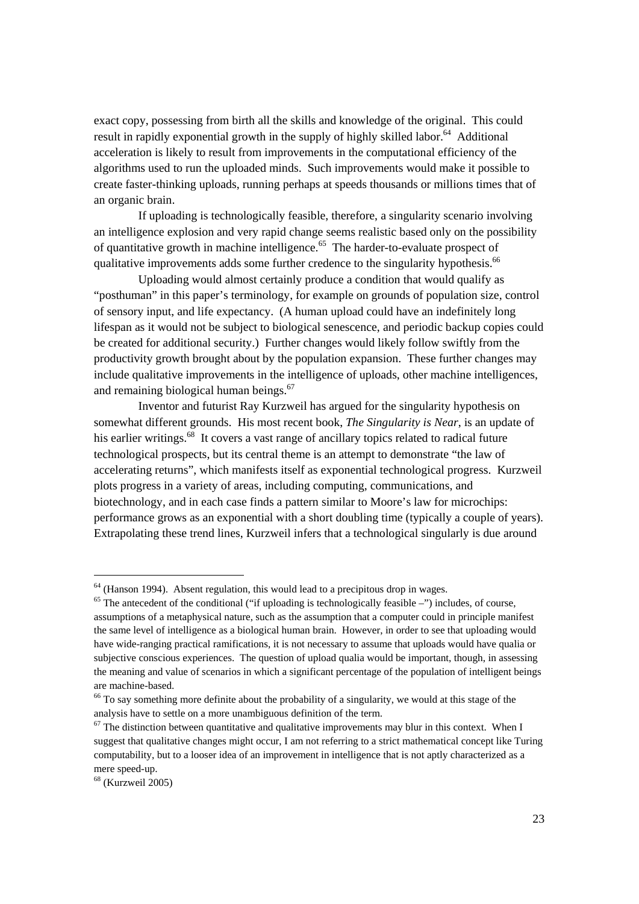exact copy, possessing from birth all the skills and knowledge of the original. This could result in rapidly exponential growth in the supply of highly skilled labor.<sup>64</sup> Additional acceleration is likely to result from improvements in the computational efficiency of the algorithms used to run the uploaded minds. Such improvements would make it possible to create faster-thinking uploads, running perhaps at speeds thousands or millions times that of an organic brain.

 If uploading is technologically feasible, therefore, a singularity scenario involving an intelligence explosion and very rapid change seems realistic based only on the possibility of quantitative growth in machine intelligence.<sup>65</sup> The harder-to-evaluate prospect of qualitative improvements adds some further credence to the singularity hypothesis.<sup>66</sup>

 Uploading would almost certainly produce a condition that would qualify as "posthuman" in this paper's terminology, for example on grounds of population size, control of sensory input, and life expectancy. (A human upload could have an indefinitely long lifespan as it would not be subject to biological senescence, and periodic backup copies could be created for additional security.) Further changes would likely follow swiftly from the productivity growth brought about by the population expansion. These further changes may include qualitative improvements in the intelligence of uploads, other machine intelligences, and remaining biological human beings.<sup>67</sup>

 Inventor and futurist Ray Kurzweil has argued for the singularity hypothesis on somewhat different grounds. His most recent book, *The Singularity is Near*, is an update of his earlier writings.<sup>68</sup> It covers a vast range of ancillary topics related to radical future technological prospects, but its central theme is an attempt to demonstrate "the law of accelerating returns", which manifests itself as exponential technological progress. Kurzweil plots progress in a variety of areas, including computing, communications, and biotechnology, and in each case finds a pattern similar to Moore's law for microchips: performance grows as an exponential with a short doubling time (typically a couple of years). Extrapolating these trend lines, Kurzweil infers that a technological singularly is due around

 $64$  (Hanson 1994). Absent regulation, this would lead to a precipitous drop in wages.

 $65$  The antecedent of the conditional ("if uploading is technologically feasible  $-$ ") includes, of course, assumptions of a metaphysical nature, such as the assumption that a computer could in principle manifest the same level of intelligence as a biological human brain. However, in order to see that uploading would have wide-ranging practical ramifications, it is not necessary to assume that uploads would have qualia or subjective conscious experiences. The question of upload qualia would be important, though, in assessing the meaning and value of scenarios in which a significant percentage of the population of intelligent beings are machine-based.

<sup>&</sup>lt;sup>66</sup> To say something more definite about the probability of a singularity, we would at this stage of the analysis have to settle on a more unambiguous definition of the term.

 $67$  The distinction between quantitative and qualitative improvements may blur in this context. When I suggest that qualitative changes might occur, I am not referring to a strict mathematical concept like Turing computability, but to a looser idea of an improvement in intelligence that is not aptly characterized as a mere speed-up.

 $68$  (Kurzweil 2005)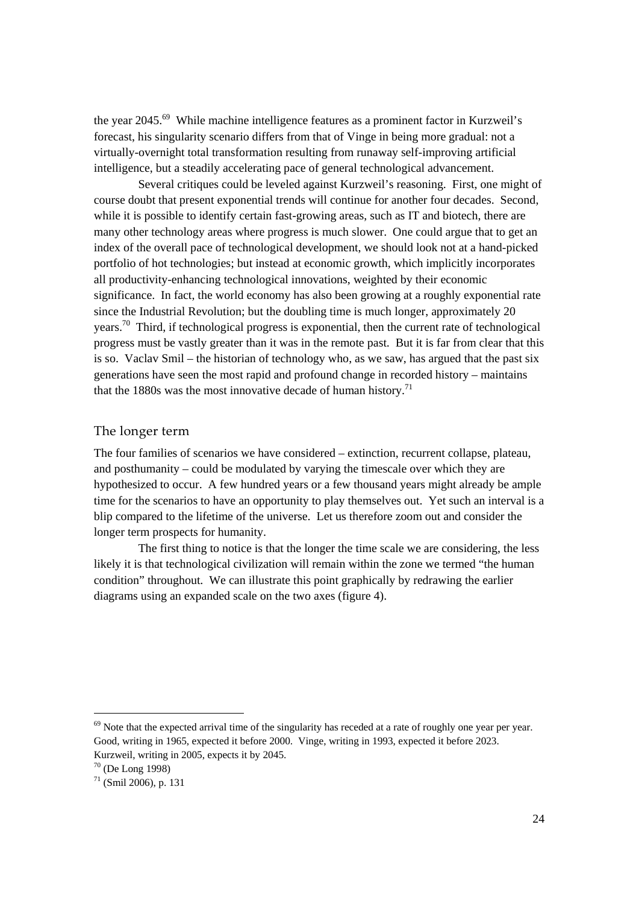the year 2045.<sup>69</sup> While machine intelligence features as a prominent factor in Kurzweil's forecast, his singularity scenario differs from that of Vinge in being more gradual: not a virtually-overnight total transformation resulting from runaway self-improving artificial intelligence, but a steadily accelerating pace of general technological advancement.

 Several critiques could be leveled against Kurzweil's reasoning. First, one might of course doubt that present exponential trends will continue for another four decades. Second, while it is possible to identify certain fast-growing areas, such as IT and biotech, there are many other technology areas where progress is much slower. One could argue that to get an index of the overall pace of technological development, we should look not at a hand-picked portfolio of hot technologies; but instead at economic growth, which implicitly incorporates all productivity-enhancing technological innovations, weighted by their economic significance. In fact, the world economy has also been growing at a roughly exponential rate since the Industrial Revolution; but the doubling time is much longer, approximately 20 years.<sup>70</sup> Third, if technological progress is exponential, then the current rate of technological progress must be vastly greater than it was in the remote past. But it is far from clear that this is so. Vaclav Smil – the historian of technology who, as we saw, has argued that the past six generations have seen the most rapid and profound change in recorded history – maintains that the 1880s was the most innovative decade of human history.<sup>71</sup>

#### The longer term

The four families of scenarios we have considered – extinction, recurrent collapse, plateau, and posthumanity – could be modulated by varying the timescale over which they are hypothesized to occur. A few hundred years or a few thousand years might already be ample time for the scenarios to have an opportunity to play themselves out. Yet such an interval is a blip compared to the lifetime of the universe. Let us therefore zoom out and consider the longer term prospects for humanity.

 The first thing to notice is that the longer the time scale we are considering, the less likely it is that technological civilization will remain within the zone we termed "the human condition" throughout. We can illustrate this point graphically by redrawing the earlier diagrams using an expanded scale on the two axes (figure 4).

 $69$  Note that the expected arrival time of the singularity has receded at a rate of roughly one year per year. Good, writing in 1965, expected it before 2000. Vinge, writing in 1993, expected it before 2023. Kurzweil, writing in 2005, expects it by 2045.

 $70$  (De Long 1998)

 $71$  (Smil 2006), p. 131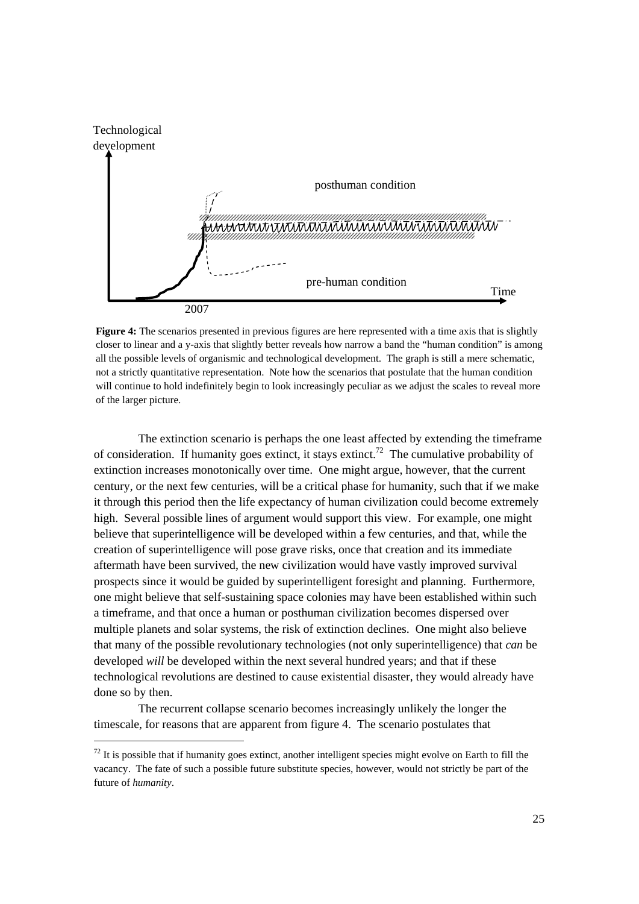

**Figure 4:** The scenarios presented in previous figures are here represented with a time axis that is slightly closer to linear and a y-axis that slightly better reveals how narrow a band the "human condition" is among all the possible levels of organismic and technological development. The graph is still a mere schematic, not a strictly quantitative representation. Note how the scenarios that postulate that the human condition will continue to hold indefinitely begin to look increasingly peculiar as we adjust the scales to reveal more of the larger picture.

 The extinction scenario is perhaps the one least affected by extending the timeframe of consideration. If humanity goes extinct, it stays extinct.<sup>72</sup> The cumulative probability of extinction increases monotonically over time. One might argue, however, that the current century, or the next few centuries, will be a critical phase for humanity, such that if we make it through this period then the life expectancy of human civilization could become extremely high. Several possible lines of argument would support this view. For example, one might believe that superintelligence will be developed within a few centuries, and that, while the creation of superintelligence will pose grave risks, once that creation and its immediate aftermath have been survived, the new civilization would have vastly improved survival prospects since it would be guided by superintelligent foresight and planning. Furthermore, one might believe that self-sustaining space colonies may have been established within such a timeframe, and that once a human or posthuman civilization becomes dispersed over multiple planets and solar systems, the risk of extinction declines. One might also believe that many of the possible revolutionary technologies (not only superintelligence) that *can* be developed *will* be developed within the next several hundred years; and that if these technological revolutions are destined to cause existential disaster, they would already have done so by then.

 The recurrent collapse scenario becomes increasingly unlikely the longer the timescale, for reasons that are apparent from figure 4. The scenario postulates that

l

 $72$  It is possible that if humanity goes extinct, another intelligent species might evolve on Earth to fill the vacancy. The fate of such a possible future substitute species, however, would not strictly be part of the future of *humanity*.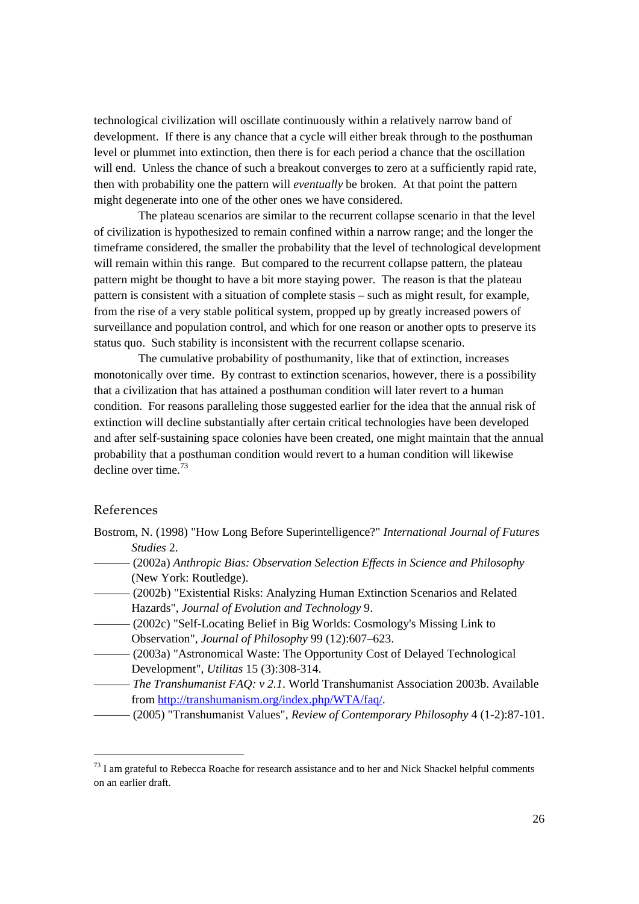technological civilization will oscillate continuously within a relatively narrow band of development. If there is any chance that a cycle will either break through to the posthuman level or plummet into extinction, then there is for each period a chance that the oscillation will end. Unless the chance of such a breakout converges to zero at a sufficiently rapid rate, then with probability one the pattern will *eventually* be broken. At that point the pattern might degenerate into one of the other ones we have considered.

 The plateau scenarios are similar to the recurrent collapse scenario in that the level of civilization is hypothesized to remain confined within a narrow range; and the longer the timeframe considered, the smaller the probability that the level of technological development will remain within this range. But compared to the recurrent collapse pattern, the plateau pattern might be thought to have a bit more staying power. The reason is that the plateau pattern is consistent with a situation of complete stasis – such as might result, for example, from the rise of a very stable political system, propped up by greatly increased powers of surveillance and population control, and which for one reason or another opts to preserve its status quo. Such stability is inconsistent with the recurrent collapse scenario.

 The cumulative probability of posthumanity, like that of extinction, increases monotonically over time. By contrast to extinction scenarios, however, there is a possibility that a civilization that has attained a posthuman condition will later revert to a human condition. For reasons paralleling those suggested earlier for the idea that the annual risk of extinction will decline substantially after certain critical technologies have been developed and after self-sustaining space colonies have been created, one might maintain that the annual probability that a posthuman condition would revert to a human condition will likewise decline over time.<sup>73</sup>

#### References

- Bostrom, N. (1998) "How Long Before Superintelligence?" *International Journal of Futures Studies* 2.
- ——— (2002a) *Anthropic Bias: Observation Selection Effects in Science and Philosophy* (New York: Routledge).
- ——— (2002b) "Existential Risks: Analyzing Human Extinction Scenarios and Related Hazards", *Journal of Evolution and Technology* 9.
- (2002c) "Self-Locating Belief in Big Worlds: Cosmology's Missing Link to Observation", *Journal of Philosophy* 99 (12):607–623.
- ——— (2003a) "Astronomical Waste: The Opportunity Cost of Delayed Technological Development", *Utilitas* 15 (3):308-314.
- ——— *The Transhumanist FAQ: v 2.1*. World Transhumanist Association 2003b. Available from http://transhumanism.org/index.php/WTA/faq/.
- ——— (2005) "Transhumanist Values", *Review of Contemporary Philosophy* 4 (1-2):87-101.

 $^{73}$  I am grateful to Rebecca Roache for research assistance and to her and Nick Shackel helpful comments on an earlier draft.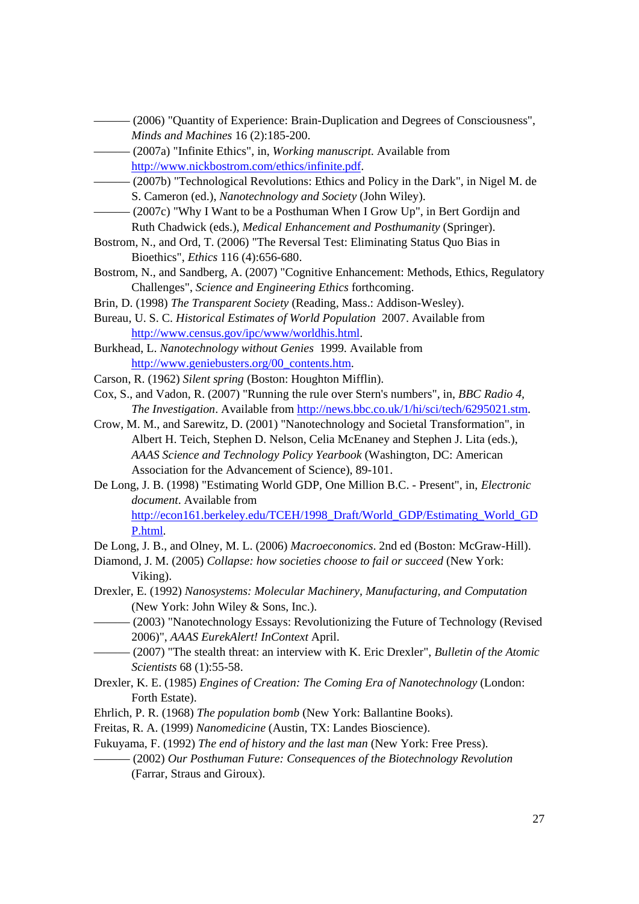- (2006) "Quantity of Experience: Brain-Duplication and Degrees of Consciousness", *Minds and Machines* 16 (2):185-200.
- ——— (2007a) "Infinite Ethics", in, *Working manuscript*. Available from http://www.nickbostrom.com/ethics/infinite.pdf.
	- ——— (2007b) "Technological Revolutions: Ethics and Policy in the Dark", in Nigel M. de S. Cameron (ed.), *Nanotechnology and Society* (John Wiley).
- (2007c) "Why I Want to be a Posthuman When I Grow Up", in Bert Gordijn and Ruth Chadwick (eds.), *Medical Enhancement and Posthumanity* (Springer).
- Bostrom, N., and Ord, T. (2006) "The Reversal Test: Eliminating Status Quo Bias in Bioethics", *Ethics* 116 (4):656-680.
- Bostrom, N., and Sandberg, A. (2007) "Cognitive Enhancement: Methods, Ethics, Regulatory Challenges", *Science and Engineering Ethics* forthcoming.
- Brin, D. (1998) *The Transparent Society* (Reading, Mass.: Addison-Wesley).
- Bureau, U. S. C. *Historical Estimates of World Population* 2007. Available from http://www.census.gov/ipc/www/worldhis.html.
- Burkhead, L. *Nanotechnology without Genies* 1999. Available from http://www.geniebusters.org/00\_contents.htm.
- Carson, R. (1962) *Silent spring* (Boston: Houghton Mifflin).
- Cox, S., and Vadon, R. (2007) "Running the rule over Stern's numbers", in, *BBC Radio 4, The Investigation*. Available from http://news.bbc.co.uk/1/hi/sci/tech/6295021.stm.
- Crow, M. M., and Sarewitz, D. (2001) "Nanotechnology and Societal Transformation", in Albert H. Teich, Stephen D. Nelson, Celia McEnaney and Stephen J. Lita (eds.), *AAAS Science and Technology Policy Yearbook* (Washington, DC: American Association for the Advancement of Science), 89-101.
- De Long, J. B. (1998) "Estimating World GDP, One Million B.C. Present", in, *Electronic document*. Available from http://econ161.berkeley.edu/TCEH/1998\_Draft/World\_GDP/Estimating\_World\_GD P.html.
- De Long, J. B., and Olney, M. L. (2006) *Macroeconomics*. 2nd ed (Boston: McGraw-Hill).
- Diamond, J. M. (2005) *Collapse: how societies choose to fail or succeed* (New York: Viking).
- Drexler, E. (1992) *Nanosystems: Molecular Machinery, Manufacturing, and Computation* (New York: John Wiley & Sons, Inc.).
- (2003) "Nanotechnology Essays: Revolutionizing the Future of Technology (Revised 2006)", *AAAS EurekAlert! InContext* April.
- ——— (2007) "The stealth threat: an interview with K. Eric Drexler", *Bulletin of the Atomic Scientists* 68 (1):55-58.
- Drexler, K. E. (1985) *Engines of Creation: The Coming Era of Nanotechnology* (London: Forth Estate).
- Ehrlich, P. R. (1968) *The population bomb* (New York: Ballantine Books).
- Freitas, R. A. (1999) *Nanomedicine* (Austin, TX: Landes Bioscience).
- Fukuyama, F. (1992) *The end of history and the last man* (New York: Free Press).
- ——— (2002) *Our Posthuman Future: Consequences of the Biotechnology Revolution* (Farrar, Straus and Giroux).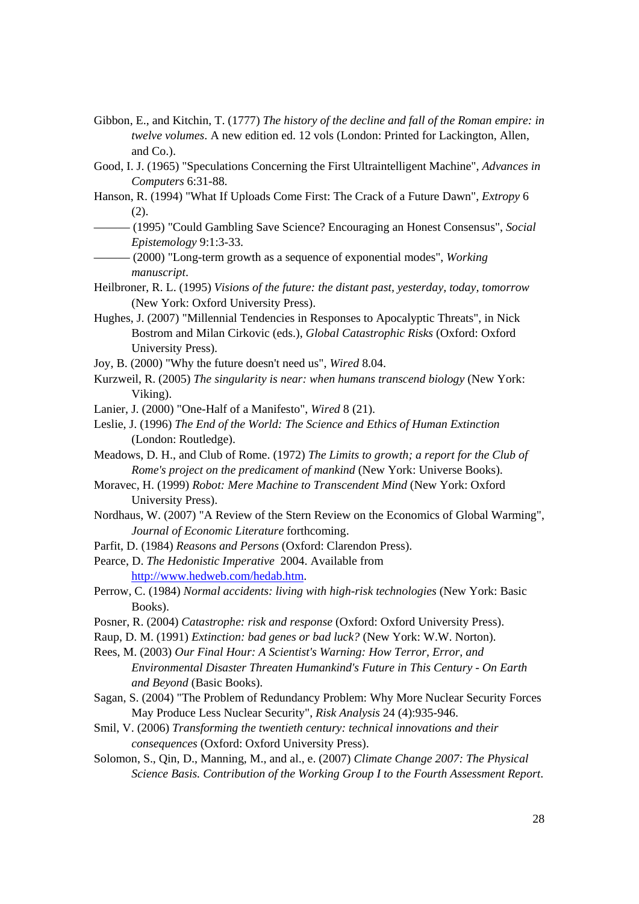- Gibbon, E., and Kitchin, T. (1777) *The history of the decline and fall of the Roman empire: in twelve volumes*. A new edition ed. 12 vols (London: Printed for Lackington, Allen, and Co.).
- Good, I. J. (1965) "Speculations Concerning the First Ultraintelligent Machine", *Advances in Computers* 6:31-88.
- Hanson, R. (1994) "What If Uploads Come First: The Crack of a Future Dawn", *Extropy* 6 (2).
- ——— (1995) "Could Gambling Save Science? Encouraging an Honest Consensus", *Social Epistemology* 9:1:3-33.
- ——— (2000) "Long-term growth as a sequence of exponential modes", *Working manuscript*.
- Heilbroner, R. L. (1995) *Visions of the future: the distant past, yesterday, today, tomorrow* (New York: Oxford University Press).
- Hughes, J. (2007) "Millennial Tendencies in Responses to Apocalyptic Threats", in Nick Bostrom and Milan Cirkovic (eds.), *Global Catastrophic Risks* (Oxford: Oxford University Press).
- Joy, B. (2000) "Why the future doesn't need us", *Wired* 8.04.
- Kurzweil, R. (2005) *The singularity is near: when humans transcend biology* (New York: Viking).
- Lanier, J. (2000) "One-Half of a Manifesto", *Wired* 8 (21).
- Leslie, J. (1996) *The End of the World: The Science and Ethics of Human Extinction* (London: Routledge).
- Meadows, D. H., and Club of Rome. (1972) *The Limits to growth; a report for the Club of Rome's project on the predicament of mankind* (New York: Universe Books).
- Moravec, H. (1999) *Robot: Mere Machine to Transcendent Mind* (New York: Oxford University Press).
- Nordhaus, W. (2007) "A Review of the Stern Review on the Economics of Global Warming", *Journal of Economic Literature* forthcoming.
- Parfit, D. (1984) *Reasons and Persons* (Oxford: Clarendon Press).
- Pearce, D. *The Hedonistic Imperative* 2004. Available from http://www.hedweb.com/hedab.htm.
- Perrow, C. (1984) *Normal accidents: living with high-risk technologies* (New York: Basic Books).
- Posner, R. (2004) *Catastrophe: risk and response* (Oxford: Oxford University Press).
- Raup, D. M. (1991) *Extinction: bad genes or bad luck?* (New York: W.W. Norton).
- Rees, M. (2003) *Our Final Hour: A Scientist's Warning: How Terror, Error, and Environmental Disaster Threaten Humankind's Future in This Century - On Earth and Beyond* (Basic Books).
- Sagan, S. (2004) "The Problem of Redundancy Problem: Why More Nuclear Security Forces May Produce Less Nuclear Security", *Risk Analysis* 24 (4):935-946.
- Smil, V. (2006) *Transforming the twentieth century: technical innovations and their consequences* (Oxford: Oxford University Press).
- Solomon, S., Qin, D., Manning, M., and al., e. (2007) *Climate Change 2007: The Physical Science Basis. Contribution of the Working Group I to the Fourth Assessment Report*.